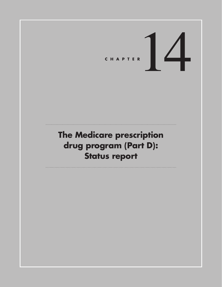# CHAPTER<sup>1</sup>

# **The Medicare prescription drug program (Part D): Status report**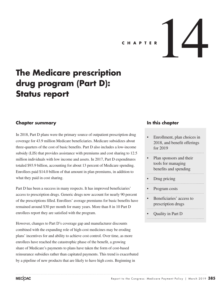# CHAPTER **14**

# **The Medicare prescription drug program (Part D): Status report**

### **Chapter summary**

In 2018, Part D plans were the primary source of outpatient prescription drug coverage for 43.9 million Medicare beneficiaries. Medicare subsidizes about three-quarters of the cost of basic benefits. Part D also includes a low-income subsidy (LIS) that provides assistance with premiums and cost sharing to 12.5 million individuals with low income and assets. In 2017, Part D expenditures totaled \$93.9 billion, accounting for about 13 percent of Medicare spending. Enrollees paid \$14.0 billion of that amount in plan premiums, in addition to what they paid in cost sharing.

Part D has been a success in many respects. It has improved beneficiaries' access to prescription drugs. Generic drugs now account for nearly 90 percent of the prescriptions filled. Enrollees' average premiums for basic benefits have remained around \$30 per month for many years. More than 8 in 10 Part D enrollees report they are satisfied with the program.

However, changes to Part D's coverage gap and manufacturer discounts combined with the expanding role of high-cost medicines may be eroding plans' incentives for and ability to achieve cost control. Over time, as more enrollees have reached the catastrophic phase of the benefit, a growing share of Medicare's payments to plans have taken the form of cost-based reinsurance subsidies rather than capitated payments. This trend is exacerbated by a pipeline of new products that are likely to have high costs. Beginning in

### **In this chapter**

- Enrollment, plan choices in 2018, and benefit offerings for 2019
- Plan sponsors and their tools for managing benefits and spending

- Drug pricing
- Program costs
- Beneficiaries' access to prescription drugs
- Quality in Part D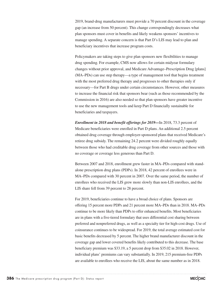2019, brand-drug manufacturers must provide a 70 percent discount in the coverage gap (an increase from 50 percent). This change correspondingly decreases what plan sponsors must cover in benefits and likely weakens sponsors' incentives to manage spending. A separate concern is that Part D's LIS may lead to plan and beneficiary incentives that increase program costs.

Policymakers are taking steps to give plan sponsors new flexibilities to manage drug spending. For example, CMS now allows for certain midyear formulary changes without prior approval, and Medicare Advantage–Prescription Drug [plans] (MA–PDs) can use step therapy—a type of management tool that begins treatment with the most preferred drug therapy and progresses to other therapies only if necessary—for Part B drugs under certain circumstances. However, other measures to increase the financial risk that sponsors bear (such as those recommended by the Commission in 2016) are also needed so that plan sponsors have greater incentive to use the new management tools and keep Part D financially sustainable for beneficiaries and taxpayers.

*Enrollment in 2018 and benefit offerings for 2019—*In 2018, 73.3 percent of Medicare beneficiaries were enrolled in Part D plans. An additional 2.5 percent obtained drug coverage through employer-sponsored plans that received Medicare's retiree drug subsidy. The remaining 24.2 percent were divided roughly equally between those who had creditable drug coverage from other sources and those with no coverage or coverage less generous than Part D.

Between 2007 and 2018, enrollment grew faster in MA–PDs compared with standalone prescription drug plans (PDPs). In 2018, 42 percent of enrollees were in MA–PDs compared with 30 percent in 2007. Over the same period, the number of enrollees who received the LIS grew more slowly than non-LIS enrollees, and the LIS share fell from 39 percent to 28 percent.

For 2019, beneficiaries continue to have a broad choice of plans. Sponsors are offering 15 percent more PDPs and 21 percent more MA–PDs than in 2018. MA–PDs continue to be more likely than PDPs to offer enhanced benefits. Most beneficiaries are in plans with a five-tiered formulary that uses differential cost sharing between preferred and nonpreferred drugs, as well as a specialty tier for high-cost drugs. Use of coinsurance continues to be widespread. For 2019, the total average estimated cost for basic benefits decreased by 5 percent. The higher brand manufacturer discount in the coverage gap and lower covered benefits likely contributed to this decrease. The base beneficiary premium was \$33.19, a 5 percent drop from \$35.02 in 2018. However, individual plans' premiums can vary substantially. In 2019, 215 premium-free PDPs are available to enrollees who receive the LIS, about the same number as in 2018.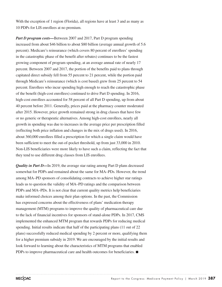With the exception of 1 region (Florida), all regions have at least 3 and as many as 10 PDPs for LIS enrollees at no premium.

*Part D program costs—Between 2007 and 2017, Part D program spending* increased from about \$46 billion to about \$80 billion (average annual growth of 5.6 percent). Medicare's reinsurance (which covers 80 percent of enrollees' spending in the catastrophic phase of the benefit after rebates) continues to be the fastest growing component of program spending, at an average annual rate of nearly 17 percent. Between 2007 and 2017, the portion of the benefits paid to plans through capitated direct subsidy fell from 55 percent to 21 percent, while the portion paid through Medicare's reinsurance (which is cost based) grew from 25 percent to 54 percent. Enrollees who incur spending high enough to reach the catastrophic phase of the benefit (high-cost enrollees) continued to drive Part D spending. In 2016, high-cost enrollees accounted for 58 percent of all Part D spending, up from about 40 percent before 2011. Generally, prices paid at the pharmacy counter moderated after 2015. However, price growth remained strong in drug classes that have few or no generic or therapeutic alternatives. Among high-cost enrollees, nearly all growth in spending was due to increases in the average price per prescription filled (reflecting both price inflation and changes in the mix of drugs used). In 2016, about 360,000 enrollees filled a prescription for which a single claim would have been sufficient to meet the out-of-pocket threshold, up from just 33,000 in 2010. Non-LIS beneficiaries were more likely to have such a claim, reflecting the fact that they tend to use different drug classes from LIS enrollees.

*Quality in Part D—In* 2019, the average star rating among Part D plans decreased somewhat for PDPs and remained about the same for MA–PDs. However, the trend among MA–PD sponsors of consolidating contracts to achieve higher star ratings leads us to question the validity of MA–PD ratings and the comparison between PDPs and MA–PDs. It is not clear that current quality metrics help beneficiaries make informed choices among their plan options. In the past, the Commission has expressed concerns about the effectiveness of plans' medication therapy management (MTM) programs to improve the quality of pharmaceutical care due to the lack of financial incentives for sponsors of stand-alone PDPs. In 2017, CMS implemented the enhanced MTM program that rewards PDPs for reducing medical spending. Initial results indicate that half of the participating plans (11 out of 22 plans) successfully reduced medical spending by 2 percent or more, qualifying them for a higher premium subsidy in 2019. We are encouraged by the initial results and look forward to learning about the characteristics of MTM programs that enabled PDPs to improve pharmaceutical care and health outcomes for beneficiaries. ■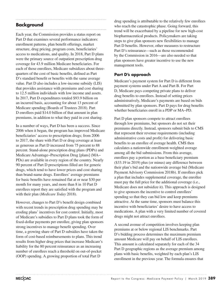# **Background**

Each year, the Commission provides a status report on Part D that examines several performance indicators: enrollment patterns, plan benefit offerings, market structure, drug pricing, program costs, beneficiaries' access to medications, and quality. In 2018, Part D plans were the primary source of outpatient prescription drug coverage for 43.9 million Medicare beneficiaries. For each of those enrollees, Medicare subsidizes about threequarters of the cost of basic benefits, defined as Part D's standard benefit or benefits with the same average value. Part D also includes a low-income subsidy (LIS) that provides assistance with premiums and cost sharing to 12.5 million individuals with low income and assets. In 2017, Part D expenditures totaled \$93.9 billion on an incurred basis, accounting for about 13 percent of Medicare spending (Boards of Trustees 2018). Part D enrollees paid \$14.0 billion of that amount in plan premiums, in addition to what they paid in cost sharing.

In a number of ways, Part D has been a success. Since 2006 when it began, the program has improved Medicare beneficiaries' access to prescription drugs; from 2006 to 2017, the share with Part D or drug coverage at least as generous as Part D increased from 75 percent to 88 percent. Stand-alone prescription drug plans (PDPs) and Medicare Advantage−Prescription Drug [plans] (MA− PDs) are available in every region of the country. Nearly 90 percent of Part D prescriptions filled are for generic drugs, which tend to have lower prices and cost sharing than brand-name drugs. Enrollees' average premiums for basic benefits have remained flat at or near \$30 per month for many years, and more than 8 in 10 Part D enrollees report they are satisfied with the program and with their plan (*Medicare Today* 2018).

However, changes to Part D's benefit design combined with recent trends in prescription drug spending may be eroding plans' incentives for cost control. Initially, most of Medicare's subsidies to Part D plans took the form of fixed-dollar payments per enrollee, giving plan sponsors strong incentives to manage benefit spending. Over time, a growing share of Part D subsidies have taken the form of cost-based reimbursements to plans. This trend results from higher drug prices that increase Medicare's liability for the 80 percent reinsurance as an increasing number of enrollees reach a threshold on out-of-pocket (OOP) spending. A growing proportion of total Part D

drug spending is attributable to the relatively few enrollees who reach the catastrophic phase. Going forward, this trend will be exacerbated by a pipeline for new high-cost biopharmaceutical products. Policymakers are taking steps to give plan sponsors new flexibilities to manage Part D benefits. However, other measures to restructure Part D's reinsurance—such as those recommended by the Commission in 2016—are also needed so that plan sponsors have greater incentive to use the new management tools.

### **Part D's approach**

Medicare's payment system for Part D is different from payment systems under Part A and Part B. For Part D, Medicare pays competing private plans to deliver drug benefits to enrollees. Instead of setting prices administratively, Medicare's payments are based on bids submitted by plan sponsors. Part D pays for drug benefits whether beneficiaries enroll in a PDP or MA−PD.

Part D plan sponsors compete to attract enrollees through low premiums, but sponsors do not set their premiums directly. Instead, sponsors submit bids to CMS that represent their revenue requirements (including administrative costs and profit) for delivering basic benefits to an enrollee of average health. CMS then calculates a nationwide enrollment-weighted average among all the bid submissions. From this average, enrollees pay a portion as a base beneficiary premium (\$33.19 in 2019) plus (or minus) any difference between their plan's bid and the nationwide average bid (Medicare Payment Advisory Commission 2018b). If enrollees pick a plan that includes supplemental coverage, the enrollee must pay the full price for the additional coverage (i.e., Medicare does not subsidize it). This approach is designed to give sponsors the incentive to control enrollees' spending so that they can bid low and keep premiums attractive. At the same time, sponsors must balance this incentive with beneficiaries' desire to have access to medications. A plan with a very limited number of covered drugs might not attract enrollees.

A second avenue of competition involves keeping plan premiums at or below regional LIS benchmarks. Part D's bidding process determines the maximum premium amount Medicare will pay on behalf of LIS enrollees. This amount is calculated separately for each of the 34 Part D geographic regions as the average premium among plans with basic benefits, weighted by each plan's LIS enrollment in the previous year. The formula ensures that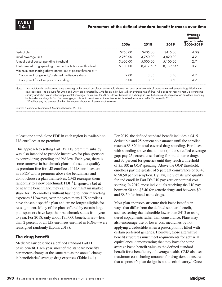### **14–1 Parameters of the defined standard benefit increase over time**

|                                                               | 2006     | 2018      | 2019      | <b>Average</b><br>annual<br>growth rate<br>2006-2019 |
|---------------------------------------------------------------|----------|-----------|-----------|------------------------------------------------------|
| Deductible                                                    | \$250.00 | \$405.00  | \$415.00  | 4.0%                                                 |
| Initial coverage limit                                        | 2.250.00 | 3.750.00  | 3,820,00  | 4.2                                                  |
| Annual out-of-pocket spending threshold                       | 3,600.00 | 5,000.00  | 5.100.00  | 2.7                                                  |
| Total covered drug spending at annual out-of-pocket threshold | 5.100.00 | 8.417.60* | 8.139.54* | 3.7                                                  |
| Minimum cost sharing above annual out-of-pocket threshold:**  |          |           |           |                                                      |
| Copayment for generic/preferred multisource drugs             | 2.00     | 3.35      | 3.40      | 4.2                                                  |
| Copayment for other prescription drugs                        | 5.00     | 8.35      | 8.50      | 4.2                                                  |

Note: \*An individual's total covered drug spending at the annual out-of-pocket threshold depends on each enrollee's mix of brand-name and generic drugs filled in the coverage gap. The amounts for 2018 and 2019 are estimated by CMS for an individual with an average mix of drugs who does not receive Part D's low-income subsidy and who has no other supplemental coverage.The amount for 2019 is lower because of a change in law that causes 95 percent of an enrollee's spending for brand-name drugs in Part D's coverage-gap phase to count toward the out-of-pocket threshold, compared with 85 percent in 2018. \*\*Enrollees pay the greater of either the amounts shown or 5 percent coinsurance.

Source: Centers for Medicare & Medicaid Services 2018d.

at least one stand-alone PDP in each region is available to LIS enrollees at no premium.

This approach to setting Part D's LIS premium subsidy was also intended to provide incentives for plan sponsors to control drug spending and bid low. Each year, there is some turnover in benchmark plans—those that qualify as premium free for LIS enrollees. If LIS enrollees are in a PDP with a premium above the benchmark and do not choose a plan themselves, CMS reassigns them randomly to a new benchmark  $PDP<sup>1</sup>$  If sponsors bid at or near the benchmark, they can win or maintain market share for LIS enrollees without having to incur marketing expenses.<sup>2</sup> However, over the years many LIS enrollees have chosen a specific plan and are no longer eligible for reassignment. Many of the plans offered by certain large plan sponsors have kept their benchmark status from year to year. For 2018, only about 175,000 beneficiaries—less than 2 percent of all LIS enrollees enrolled in PDPs—were reassigned randomly (Lyons 2018).

### **The drug benefit**

Medicare law describes a defined standard Part D basic benefit. Each year, most of the standard benefit's parameters change at the same rate as the annual change in beneficiaries' average drug expenses (Table 14-1).

For 2019, the defined standard benefit includes a \$415 deductible and 25 percent coinsurance until the enrollee reaches \$3,820 in total covered drug spending. Enrollees with spending above that amount (in the so-called coverage gap) pay 25 percent cost sharing for brand-name drugs and 37 percent for generics until they reach a threshold of \$5,100 in OOP spending. Above the OOP threshold, enrollees pay the greater of 5 percent coinsurance or \$3.40 to \$8.50 per prescription. By law, individuals who qualify for and enroll in Part D's LIS pay zero or nominal cost sharing. In 2019, most individuals receiving the LIS pay between \$0 and \$3.40 for generic drugs and between \$0 and \$8.50 for brand-name drugs.

Most plan sponsors structure their basic benefits in ways that differ from the defined standard benefit, such as setting the deductible lower than \$415 or using tiered copayments rather than coinsurance. Plans may also encourage use of lower cost medicines by not applying a deductible when a prescription is filled with certain preferred generics. However, those alternative benefit structures must meet requirements for actuarial equivalence, demonstrating that they have the same average basic-benefit value as the defined standard benefit for a beneficiary of average health. CMS also sets maximum cost-sharing amounts for drug tiers to ensure that a sponsor's plan design is not discriminatory.<sup>3</sup> Once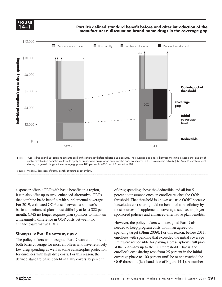**FIGURE 14–1**

**Part D's defined standard benefit before and after introduction of the manufacturers' discount on brand-name drugs in the coverage gap**



Note: "Gross drug spending" refers to amounts paid at the pharmacy before rebates and discounts. The coverage-gap phase (between the initial coverge limit and out-ofpocket threshold) is depicted as it would apply to brand-name drugs for an enrollee who does not receive Part D's low-income subsidy (LIS). Non-LIS enrollees' cost sharing for generic drugs in the coverage gap was 100 percent in 2006 and 93 percent in 2011.

Source: MedPAC depiction of Part D benefit structure as set by law.

a sponsor offers a PDP with basic benefits in a region, it can also offer up to two "enhanced-alternative" PDPs that combine basic benefits with supplemental coverage. For 2019, estimated OOP costs between a sponsor's basic and enhanced plans must differ by at least \$22 per month. CMS no longer requires plan sponsors to maintain a meaningful difference in OOP costs between two enhanced-alternative PDPs.

### **Changes to Part D's coverage gap**

The policymakers who designed Part D wanted to provide both basic coverage for most enrollees who have relatively low drug spending as well as some catastrophic protection for enrollees with high drug costs. For this reason, the defined standard basic benefit initially covers 75 percent

of drug spending above the deductible and all but 5 percent coinsurance once an enrollee reaches the OOP threshold. That threshold is known as "true OOP" because it excludes cost sharing paid on behalf of a beneficiary by most sources of supplemental coverage, such as employersponsored policies and enhanced-alternative plan benefits.

However, the policymakers who designed Part D also needed to keep program costs within an agreed-on spending target (Blum 2009). For this reason, before 2011, enrollees with spending that exceeded the initial coverage limit were responsible for paying a prescription's full price at the pharmacy up to the OOP threshold. That is, the enrollee's cost sharing rose from 25 percent in the initial coverage phase to 100 percent until he or she reached the OOP threshold (left-hand side of Figure 14-1). A number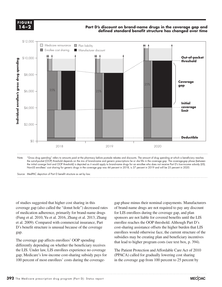**FIGURE 14–2**

### **Part D's discount on brand-name drugs in the coverage gap and defined standard benefit structure has changed over time**



Note: "Gross drug spending" refers to amounts paid at the pharmacy before postsale rebates and discounts. The amount of drug spending at which a beneficiary reaches the out-of-pocket (OOP) threshold depends on the mix of brand-name and generic prescriptions he or she fills in the coverage gap. The coverage-gap phase (between the initial coverge limit and OOP threshold) is depicted as it would apply to brand-name drugs for an enrollee who does not receive Part D's low-income subsidy (LIS). Non-LIS enrollees' cost sharing for generic drugs in the coverage gap was 44 percent in 2018, is 37 percent in 2019 and will be 25 percent in 2020.

Source: MedPAC depiction of Part D benefit structure as set by law.

of studies suggested that higher cost sharing in this coverage gap (also called the "donut hole") decreased rates of medication adherence, primarily for brand-name drugs (Fung et al. 2010, Yu et al. 2016, Zhang et al. 2013, Zhang et al. 2009). Compared with commercial insurance, Part D's benefit structure is unusual because of the coverage gap.

The coverage gap affects enrollees' OOP spending differently depending on whether the beneficiary receives the LIS. Under law, LIS enrollees experience no coverage gap; Medicare's low-income cost-sharing subsidy pays for 100 percent of most enrollees' costs during the coverage-

gap phase minus their nominal copayments. Manufacturers of brand-name drugs are not required to pay any discount for LIS enrollees during the coverage gap, and plan sponsors are not liable for covered benefits until the LIS enrollee reaches the OOP threshold. Although Part D's cost-sharing assistance offsets the higher burden that LIS enrollees would otherwise face, the current structure of the subsidies may be creating plan and beneficiary incentives that lead to higher program costs (see text box, p. 394).

The Patient Protection and Affordable Care Act of 2010 (PPACA) called for gradually lowering cost sharing in the coverage gap from 100 percent to 25 percent by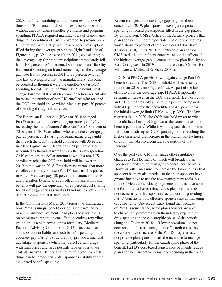2020 and for constraining annual increases in the OOP threshold. To finance much of this expansion of benefits without directly raising enrollee premiums and program spending, PPACA required manufacturers of brand-name drugs, as a condition of Part D coverage, to provide non-LIS enrollees with a 50 percent discount on prescriptions filled during the coverage-gap phase (right-hand side of Figure 14-1, p. 391). As a result, in 2011, cost sharing in the coverage gap for brand prescriptions immediately fell from 100 percent to 50 percent. Over time, plans' liability for benefit spending on brand-name drugs in the coverage gap rose from 0 percent in 2011 to 25 percent by 2020.<sup>4</sup> The law also required that the manufacturers' discount be counted as though it were the enrollee's own OOP spending for calculating the "true OOP" amount. That change lowered OOP costs for some beneficiaries but also increased the number of non-LIS enrollees who reached the OOP threshold above which Medicare pays 80 percent of spending through reinsurance.

The Bipartisan Budget Act (BBA) of 2018 changed Part D to phase out the coverage gap more quickly by increasing the manufacturers' discount from 50 percent to 70 percent. In 2019, enrollees who reach the coverage gap pay 25 percent cost sharing for brand-name drugs until they reach the OOP threshold compared with 35 percent in 2018 (Figure 14-2). Because the 70 percent discount is counted as though it were the enrollee's own spending, CMS estimates the dollar amount at which a non-LIS enrollee reaches the OOP threshold will be lower in 2019 than it was in 2018. This decrease means that more enrollees are likely to reach Part D's catastrophic phase, in which Medicare pays 80 percent reinsurance. In 2020 and thereafter, beneficiaries enrolled in plans with basic benefits will pay the equivalent of 25 percent cost sharing for all drugs (generics as well as brand name) between the deductible and the OOP threshold.

In the Commission's March 2017 report, we highlighted how Part D's unique benefit design, Medicare's costbased reinsurance payments, and plan sponsors' focus on premium competition can affect incentives regarding which drugs a plan covers on its formulary (Medicare Payment Advisory Commission 2017). Because plan sponsors are not liable for much benefit spending in the coverage gap, Part D's structure may provide a financial advantage to sponsors when they select certain drugs with high prices and large postsale rebates over lower cost alternatives. The dollar amount of rebates for certain drugs can be larger than a plan sponsor's liability for the associated benefit spending.

Recent changes to the coverage gap heighten those concerns. In 2019, plan sponsors cover just 5 percent of spending for brand prescriptions filled in the gap phase. By comparison, CMS's Office of the Actuary projects that plan sponsors will obtain postsale rebates and discounts worth about 26 percent of total drug costs (Boards of Trustees 2018). In its 2019 call letter to plan sponsors, CMS said it has significant concerns about the effects of the higher coverage-gap discount and low plan liability on Part D drug costs in 2019 and in future years (Centers for Medicare & Medicaid Services 2018d).

In 2020, a PPACA provision will again change Part D's benefit structure: The OOP threshold will increase by more than 20 percent (Figure 14-2). As part of the law's effort to close the coverage gap, PPACA temporarily restrained increases in the OOP threshold. (Between 2006 and 2019, the threshold grew by 2.7 percent compared with 4.0 percent for the deductible and 4.2 percent for the initial coverage limit (Table 14-1, p. 390).) The law requires that in 2020, the OOP threshold revert to what it would have been had it grown at the same rate as other benefit parameters.<sup>5</sup> While it would appear that enrollees will incur much higher OOP spending before reaching the higher threshold, the increase in the brand manufacturer's discount will absorb a considerable portion of that increase.<sup>6</sup>

Over the past year, CMS has made other regulatory changes to Part D, many of which will broaden plan sponsors' flexibility to manage their enrollees' benefits. However, other measures to increase the financial risk that sponsors bear are also needed so that plan sponsors have greater incentive to use the new management tools. As more of Medicare's subsidy payments to plans have taken the form of cost-based reinsurance, plan premiums do not necessarily reflect sponsors' actual cost of providing Part D benefits or how effective sponsors are at managing drug spending. One recent study found that because of Part D's reinsurance, some plan sponsors are able to charge low premiums even though they expect high drug spending in the catastrophic phase of the benefit (Jung and Feldman  $2018$ ).<sup>7</sup> If lower premiums do not correspond to better management of benefit costs, then the competitive structure of the Part D program may not provide plan sponsors with the incentive to manage spending, particularly for the catastrophic phase of the benefit. Part D's cost-based reinsurance payments reduce plan sponsors' incentive to manage spending in that phase.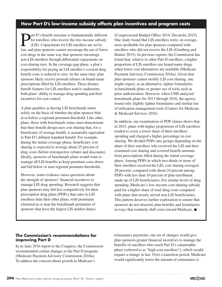### **How Part D's low-income subsidy affects plan incentives and program costs**

**Part D's benefit structure is fundamentally different**<br>for enrollees who receive the low-income subsidy<br>(LIS). Copayments for LIS enrollees are set by<br>law and also spences connet encourage the use of lawer for enrollees who receive the low-income subsidy (LIS). Copayments for LIS enrollees are set by law, and plan sponsors cannot encourage the use of lower cost drugs in the same way that sponsors encourage non-LIS enrollees through differential copayments on cost-sharing tiers. In the coverage-gap phase, a plan's responsibility for paying an LIS enrollee's covered drug benefit costs is reduced to zero. At the same time, plan sponsors likely receive postsale rebates on brand-name prescriptions filled by LIS enrollees. These distinct benefit features for LIS enrollees tend to undermine both plans' ability to manage drug spending and their incentives for cost control.

A plan qualifies as having LIS benchmark status solely on the basis of whether the plan sponsor bids at or below a regional premium threshold. Like other plans, those with benchmark status must demonstrate that their benefit design uses cost sharing that, for a beneficiary of average health, is actuarially equivalent to Part D's defined standard benefit. For example, during the initial coverage phase, beneficiary cost sharing is expected to average about 25 percent of drug costs (before retrospective rebates and discounts). Ideally, sponsors of benchmark plans would want to manage all LIS benefits to keep premium costs down and bid below or near regional premium thresholds.

However, some evidence raises questions about the strength of sponsors' financial incentives to manage LIS drug spending. Research suggests that plan sponsors may bid less competitively for their prescription drug plans (PDPs) that cater to LIS enrollees than their other plans, with premiums clustered at or near the benchmark premiums of sponsors that have the largest LIS market shares

(Congressional Budget Office 2014, Decarolis 2015). One study found that LIS enrollees were, on average, more profitable for plan sponsors compared with enrollees who did not receive the LIS (Gomberg and Hunter 2015). In previous reports, the Commission has found that, relative to other Part D enrollees, a higher proportion of LIS enrollees use brand-name drugs when lower cost alternatives are available (Medicare Payment Advisory Commission 2016a). Given that plan sponsors cannot modify LIS cost sharing, one might expect, as an alternative, tighter formularies in benchmark plans or greater use of tools such as prior authorization. However, when CMS analyzed benchmark plans for 2013 through 2016, the agency found only slightly tighter formularies and similar use of utilization management tools (Centers for Medicare & Medicaid Services 2016).

In addition, our examination of PDP claims shows that, in 2015, plans with higher proportions of LIS enrollees tended to cover a lower share of their enrollees' spending and charged a higher percentage in cost sharing. We divided PDPs into groups depending on the share of their enrollees who received the LIS and then examined cost sharing and covered benefit amounts from prescriptions filled during the initial coverage phase. Among PDPs in which two-thirds or more of their enrollees received the LIS, cost sharing averaged 28 percent, compared with about 24 percent among PDPs with less than 10 percent of plan enrollment made up of LIS beneficiaries. For similar levels of drug spending, Medicare's low-income cost-sharing subsidy paid for a higher share of total drug costs compared with plans that mostly served non-LIS beneficiaries. This pattern deserves further exploration to ensure that sponsors do not structure plan benefits and formularies in ways that routinely shift costs toward Medicare. ■

### **The Commission's recommendations for improving Part D**

In its June 2016 report to the Congress, the Commission recommended certain changes to the Part D program (Medicare Payment Advisory Commission 2016a). To address the concern about growth in Medicare's

reinsurance payments, one set of changes would give plan sponsors greater financial incentives to manage the benefits of enrollees who reach Part D's catastrophic phase (referred to as "high-cost enrollees"), which would require a change in law. Over a transition period, Medicare would significantly lower the amount of reinsurance it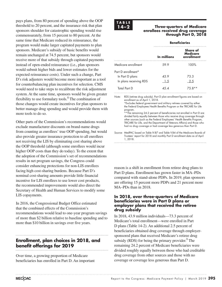would need to take steps to recalibrate the risk adjustment system. At the same time, sponsors would be given greater flexibility to use formulary tools.<sup>8</sup> The combination of those changes would create incentives for plan sponsors to better manage drug spending and would provide them with more tools to do so. Other parts of the Commission's recommendations would exclude manufacturer discounts on brand-name drugs from counting as enrollees' true OOP spending, but would also provide greater insurance protection to all enrollees not receiving the LIS by eliminating cost sharing above the OOP threshold (although some enrollees would incur higher OOP costs than they do today). To the extent that the adoption of the Commission's set of recommendations results in net program savings, the Congress could consider enhancing protections for non-LIS enrollees facing high cost-sharing burdens. Because Part D's nominal cost-sharing amounts provide little financial incentive for LIS enrollees to use lower cost products,

the recommended improvements would also direct the Secretary of Health and Human Services to modify some LIS copayments.

pays plans, from 80 percent of spending above the OOP threshold to 20 percent, and the insurance risk that plan sponsors shoulder for catastrophic spending would rise commensurately, from 15 percent to 80 percent. At the same time that Medicare reduced its reinsurance, the program would make larger capitated payments to plan sponsors. Medicare's subsidy of basic benefits would remain unchanged at 74.5 percent, but sponsors would receive more of that subsidy through capitated payments instead of open-ended reinsurance (i.e., plan sponsors would submit higher bids and lower estimates for the expected reinsurance costs). Under such a change, Part D's risk adjusters would become more important as a tool for counterbalancing plan incentives for selection. CMS

In 2016, the Congressional Budget Office estimated that the combined effects of the Commission's recommendations would lead to one-year program savings of more than \$2 billion relative to baseline spending and to more than \$10 billion in savings over five years.

### **Enrollment, plan choices in 2018, and benefit offerings for 2019**

Over time, a growing proportion of Medicare beneficiaries has enrolled in Part D. An important

## **TABLE**

### **14–2** Three-quarters of Medicare **enrollees received drug coverage through Part D, 2018**

|                        |                                                                                                                                                                                                                                                                                                                                                                                                                                                                                                                                                                 | <b>Beneficiaries</b><br>Share of<br><b>Medicare</b><br>In millions<br>enrollment<br>59.9<br>100%<br>43.9<br>73.3<br>-2.5<br><u>1.5</u><br>4.5.4<br>75.8**<br>RDS (retiree drug subsidy). Part D plan enrollment figures are based on |  |  |  |  |  |  |
|------------------------|-----------------------------------------------------------------------------------------------------------------------------------------------------------------------------------------------------------------------------------------------------------------------------------------------------------------------------------------------------------------------------------------------------------------------------------------------------------------------------------------------------------------------------------------------------------------|--------------------------------------------------------------------------------------------------------------------------------------------------------------------------------------------------------------------------------------|--|--|--|--|--|--|
|                        | Medicare enrollment<br>Part D enrollment*<br><b>Total Part D</b><br>program.                                                                                                                                                                                                                                                                                                                                                                                                                                                                                    |                                                                                                                                                                                                                                      |  |  |  |  |  |  |
|                        |                                                                                                                                                                                                                                                                                                                                                                                                                                                                                                                                                                 |                                                                                                                                                                                                                                      |  |  |  |  |  |  |
|                        |                                                                                                                                                                                                                                                                                                                                                                                                                                                                                                                                                                 |                                                                                                                                                                                                                                      |  |  |  |  |  |  |
| In Part D plans        |                                                                                                                                                                                                                                                                                                                                                                                                                                                                                                                                                                 |                                                                                                                                                                                                                                      |  |  |  |  |  |  |
| In plans receiving RDS |                                                                                                                                                                                                                                                                                                                                                                                                                                                                                                                                                                 |                                                                                                                                                                                                                                      |  |  |  |  |  |  |
|                        |                                                                                                                                                                                                                                                                                                                                                                                                                                                                                                                                                                 |                                                                                                                                                                                                                                      |  |  |  |  |  |  |
| Note:                  | enrollment as of April 1, 2018.<br>*Excludes federal government and military retirees covered by either<br>the Federal Employees Health Benefits Program or the TRICARE for Life<br>** The remaining 24.2 percent of beneficiaries not enrolled in Part D are<br>divided fairly equally between those who receive drug coverage through<br>other sources (such as the Federal Employees' Health Benefits Program,<br>TRICARE for Life, and the Department of Veterans Affairs) and those who<br>had no drug coverage or had coverage less generous than Part D. |                                                                                                                                                                                                                                      |  |  |  |  |  |  |

Source: MedPAC based on Table IV.B7 and Table V.B4 of the Medicare Boards of Trustees' report for 2018 and monthly Part D enrollment data as of April 1, 2018.

reason is a shift in enrollment from retiree drug plans to Part D plans. Enrollment has grown faster in MA–PDs compared with stand-alone PDPs. In 2019, plan sponsors are offering 15 percent more PDPs and 21 percent more MA–PDs than in 2018.

### **In 2018, over three-quarters of Medicare beneficiaries were in Part D plans or employer plans that received the retiree drug subsidy**

In 2018, 43.9 million individuals—73.3 percent of Medicare's total enrollment—were enrolled in Part D plans (Table 14-2). An additional 2.5 percent of beneficiaries obtained drug coverage through employersponsored plans that received Medicare's retiree drug subsidy (RDS) for being the primary provider. $9^{\circ}$  The remaining 24.2 percent of Medicare beneficiaries were divided roughly equally between those who had creditable drug coverage from other sources and those with no coverage or coverage less generous than Part D.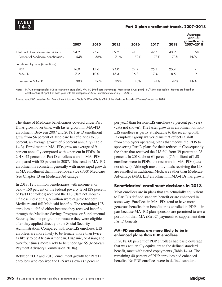### **14–3 Part D plan enrollment trends, 2007–2018**

|                                       | 2007 | 2010 | 2015 | 2016 | 2017 | 2018 | <b>Average</b><br>annual<br>arowth rate<br>2007-2018 |
|---------------------------------------|------|------|------|------|------|------|------------------------------------------------------|
| Total Part D enrollment (in millions) | 24.2 | 27.6 | 39.2 | 41.0 | 42.5 | 43.9 | 6%                                                   |
| Percent of Medicare beneficiaries     | 54%  | 58%  | 71%  | 72%  | 73%  | 73%  | N/A                                                  |
| Enrollment by type (in millions)      |      |      |      |      |      |      |                                                      |
| <b>PDP</b>                            | 16.9 | 17.6 | 24.0 | 24.7 | 25.1 | 25.4 | 4                                                    |
| MA-PD                                 | 7.2  | 10.0 | 15.3 | 16.3 | 17.4 | 18.5 | 9                                                    |
| Percent in MA-PD                      | 30%  | 36%  | 39%  | 40%  | 41%  | 42%  | N/A                                                  |

Note: N/A (not applicable), PDP (prescription drug plan), MA−PD (Medicare Advantage–Prescription Drug [plan]), N/A (not applicable). Figures are based on enrollment as of April 1 of each year with the exception of 2007 (enrollment as of July 1, 2007).

Source: MedPAC based on Part D enrollment data and Table IV.B7 and Table V.B4 of the Medicare Boards of Trustees' report for 2018.

The share of Medicare beneficiaries covered under Part D has grown over time, with faster growth in MA−PD enrollment. Between 2007 and 2018, Part D enrollment grew from 54 percent of Medicare beneficiaries to 73 percent, an average growth of 6 percent annually (Table 14-3). Enrollment in MA−PDs grew an average of 9 percent annually compared with 4 percent in PDPs. In 2018, 42 percent of Part D enrollees were in MA−PDs compared with 30 percent in 2007. This trend in MA−PD enrollment is consistent generally with more rapid growth in MA enrollment than in fee-for-service (FFS) Medicare (see Chapter 13 on Medicare Advantage).

In 2018, 12.5 million beneficiaries with income at or below 150 percent of the federal poverty level (28 percent of Part D enrollees) received the LIS (data not shown). Of these individuals, 8 million were eligible for both Medicare and full Medicaid benefits. The remaining LIS enrollees qualified either because they received benefits through the Medicare Savings Programs or Supplemental Security Income program or because they were eligible after they applied directly to the Social Security Administration. Compared with non-LIS enrollees, LIS enrollees are more likely to be female; more than twice as likely to be African American, Hispanic, or Asian; and over four times more likely to be under age 65 (Medicare Payment Advisory Commission 2018a).

Between 2007 and 2018, enrollment growth for Part D enrollees who received the LIS was slower (3 percent

per year) than for non-LIS enrollees (7 percent per year) (data not shown). The faster growth in enrollment of non-LIS enrollees is partly attributable to the recent growth in employer group waiver plans that reflects a shift from employers operating plans that receive the RDS to sponsoring Part D plans for their retirees.<sup>10</sup> Consequently, the share that received the LIS fell from 39 percent to 28 percent. In 2018, about 61 percent (7.6 million) of LIS enrollees were in PDPs; the rest were in MA−PDs (data not shown). Although most individuals receiving the LIS are enrolled in traditional Medicare rather than Medicare Advantage (MA), LIS enrollment in MA−PDs has grown.

### **Beneficiaries' enrollment decisions in 2018**

Most enrollees are in plans that are actuarially equivalent to Part D's defined standard benefit or are enhanced in some way. Enrollees in MA−PDs tend to have more generous benefits than beneficiaries enrolled in PDPs—in part because MA−PD plan sponsors are permitted to use a portion of their MA (Part C) payments to supplement their Part D benefits.

### **MA−PD enrollees are more likely to be in enhanced plans than PDP enrollees**

In 2018, 60 percent of PDP enrollees had basic coverage that was actuarially equivalent to the defined standard benefit, most with tiered copayments (Table 14-4). The remaining 40 percent of PDP enrollees had enhanced benefits. No PDP enrollees were in defined standard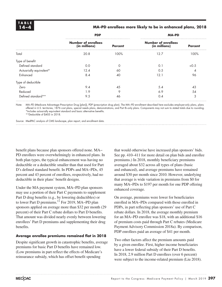### **14–4 MA–PD enrollees more likely to be in enhanced plans, 2018**

|                         | <b>PDP</b>                                  |                | <b>MA-PD</b>                                |                |  |  |  |
|-------------------------|---------------------------------------------|----------------|---------------------------------------------|----------------|--|--|--|
|                         | <b>Number of enrollees</b><br>(in millions) | <b>Percent</b> | <b>Number of enrollees</b><br>(in millions) | <b>Percent</b> |  |  |  |
| Total                   | 20.8                                        | 100%           | 12.7                                        | 100%           |  |  |  |
| Type of benefit         |                                             |                |                                             |                |  |  |  |
| Defined standard        | 0.0                                         | $\Omega$       | 0.1                                         | <0.5           |  |  |  |
| Actuarially equivalent* | 12.4                                        | 60             | 0.5                                         |                |  |  |  |
| Enhanced                | 8.4                                         | 40             | 12.1                                        | 96             |  |  |  |
| Type of deductible      |                                             |                |                                             |                |  |  |  |
| Zero                    | 9.4                                         | 45             | 5.4                                         | 43             |  |  |  |
| Reduced                 | 1.9                                         | 9              | 6.9                                         | 54             |  |  |  |
| Defined standard**      | 9.5                                         | 46             | 0.4                                         | 3              |  |  |  |

Note: MA–PD (Medicare Advantage–Prescription Drug [plan]), PDP (prescription drug plan). The MA−PD enrollment described here excludes employer-only plans, plans offered in U.S. territories, 1876 cost plans, special needs plans, demonstrations, and Part B–only plans. Components may not sum to stated totals due to rounding. \*Includes actuarially equivalent standard and basic alternative benefits. \*\*Deductible of \$405 in 2018.

Source: MedPAC analysis of CMS landscape, plan report, and enrollment data.

benefit plans because plan sponsors offered none. MA− PD enrollees were overwhelmingly in enhanced plans. In both plan types, the typical enhancement was having no deductible or a deductible smaller than that used for Part D's defined standard benefit. In PDPs and MA−PDs, 45 percent and 43 percent of enrollees, respectively, had no deductible in their plans' benefit designs.

Under the MA payment system, MA−PD plan sponsors may use a portion of their Part C payments to supplement Part D drug benefits (e.g., by lowering deductibles) or to lower Part D premiums.<sup>11</sup> For 2019, MA–PD plan sponsors applied on average more than \$32 per month (29 percent) of their Part C rebate dollars to Part D benefits. That amount was divided nearly evenly between lowering enrollees' Part D premiums and supplementing their drug benefits.

### **Average enrollee premiums remained flat in 2018**

Despite significant growth in catastrophic benefits, average premiums for basic Part D benefits have remained low. (Low premiums in part reflect the effects of Medicare's reinsurance subsidy, which has offset benefit spending

that would otherwise have increased plan sponsors' bids. See pp. 410–411 for more detail on plan bids and enrollee premiums.) In 2018, monthly beneficiary premiums averaged about \$32 across all types of plans (basic and enhanced), and average premiums have remained around \$30 per month since 2010. However, underlying that average is wide variation in premiums from \$0 for many MA–PDs to \$197 per month for one PDP offering enhanced coverage.

On average, premiums were lower for beneficiaries enrolled in MA−PDs compared with those enrolled in PDPs, in part reflecting plan sponsors' use of Part C rebate dollars. In 2018, the average monthly premium for an MA–PD enrollee was \$18, with an additional \$16 of premium costs paid through Part C rebates (Medicare Payment Advisory Commission 2018a). By comparison, PDP enrollees paid an average of \$41 per month.

Two other factors affect the premium amounts paid by a given enrollee. First, higher income beneficiaries have a lower federal subsidy of their Part D benefits. In 2018, 2.9 million Part D enrollees (over 6 percent) were subject to the income-related premium (Liu 2018).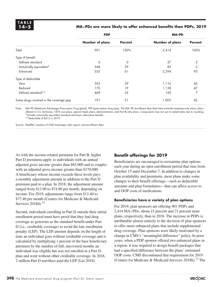### **14–5 MA−PDs are more likely to offer enhanced benefits than PDPs, 2019**

|                                        | <b>PDP</b>             |                | <b>MA-PD</b>           |                |  |  |
|----------------------------------------|------------------------|----------------|------------------------|----------------|--|--|
|                                        | <b>Number of plans</b> | <b>Percent</b> | <b>Number of plans</b> | <b>Percent</b> |  |  |
| Total                                  | 901                    | 100%           | 2,414                  | 100%           |  |  |
| Type of benefit                        |                        |                |                        |                |  |  |
| Defined standard                       | $\Omega$               | $\Omega$       | 37                     | $\overline{2}$ |  |  |
| Actuarially equivalent*                | 348                    | 39             | 83                     | 3              |  |  |
| Enhanced                               | 553                    | 61             | 2,294                  | 95             |  |  |
| Type of deductible                     |                        |                |                        |                |  |  |
| Zero                                   | 263                    | 29             | 1,116                  | 46             |  |  |
| Reduced                                | 170                    | 19             | 1,138                  | 47             |  |  |
| Defined standard**                     | 468                    | 52             | 160                    | 7              |  |  |
| Some drugs covered in the coverage gap | 191                    | 21             | 1,005                  | 42             |  |  |

Note: MA–PD (Medicare Advantage–Prescription Drug [plan]), PDP (prescription drug plan). The MA−PD enrollment described here excludes employer-only plans, plans offered in U.S. territories, 1876 cost plans, special needs plans, demonstrations, and Part B–only plans. Components may not sum to stated totals due to rounding. \*Includes actuarially equivalent standard and basic alternative benefits.

\*\*Deductible of \$415 in 2019.

Source: MedPAC analysis of CMS landscape, plan report, and enrollment data.

As with the income-related premium for Part B, higher Part D premiums apply to individuals with an annual adjusted gross income greater than \$85,000 and to couples with an adjusted gross income greater than \$170,000. A beneficiary whose income exceeds these levels pays a monthly adjustment amount in addition to the Part D premium paid to a plan. In 2018, the adjustment amount ranged from \$13.00 to \$74.80 per month, depending on income. For 2019, adjustments range from \$12.40 to \$77.40 per month (Centers for Medicare & Medicaid Services  $2018d$ ).<sup>12</sup>

Second, individuals enrolling in Part D outside their initial enrollment period must have proof that they had drug coverage as generous as the standard benefit under Part D (i.e., creditable coverage) to avoid the late enrollment penalty (LEP). The LEP amount depends on the length of time an individual goes without creditable coverage and is calculated by multiplying 1 percent of the base beneficiary premium by the number of full, uncovered months an individual was eligible but was not enrolled in a Part D plan and went without other creditable coverage. In 2018, 2 million Part D enrollees paid the LEP (Liu 2018).

### **Benefit offerings for 2019**

Beneficiaries are encouraged to reexamine plan options each year during an open enrollment period that runs from October 15 until December 7. In addition to changes in plan availability and premiums, most plans make some changes to their benefit offerings—such as deductible amounts and plan formularies—that can affect access to and OOP costs of medications.

### **Beneficiaries have a variety of plan options**

For 2019, plan sponsors are offering 901 PDPs and 2,414 MA−PDs, about 15 percent and 21 percent more plans, respectively, than in 2018. The increase in PDPs is attributable almost entirely to the decision of plan sponsors to offer more enhanced plans that include supplemental drug coverage. Plan sponsors were likely motivated by a change in CMS's "meaningful difference" policy. In prior years, when a PDP sponsor offered two enhanced plans in a region, it was required to design benefit packages that had a specified difference between the plans' estimated OOP costs. CMS discontinued that requirement for 2019 (Centers for Medicare & Medicaid Services 2018h).<sup>13</sup> The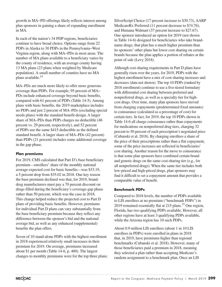growth in MA−PD offerings likely reflects interest among plan sponsors in gaining a share of expanding enrollment in MA.

In each of the nation's 34 PDP regions, beneficiaries continue to have broad choice. Options range from 22 PDPs in Alaska to 30 PDPs in the Pennsylvania−West Virginia region, along with MA−PDs in most areas. The number of MA plans available to a beneficiary varies by the county of residence, with an average county having 13 MA plans (23 plans when weighted by Medicare population). A small number of counties have no MA plans available.<sup>14</sup>

MA–PDs are much more likely to offer more generous coverage than PDPs. For example, 95 percent of MA− PDs include enhanced coverage beyond basic benefits, compared with 61 percent of PDPs (Table 14-5). Among plans with basic benefits, the 2019 marketplace includes no PDPs and just 2 percent of MA–PDs (excluding special needs plans) with the standard benefit design. A larger share of MA–PDs than PDPs charges no deductible (46 percent vs. 29 percent, respectively), and 52 percent of PDPs use the same \$415 deductible as the defined standard benefit. A larger share of MA–PDs (42 percent) than PDPs (21 percent) includes some additional coverage in the gap phase.

### **Plan premiums**

For 2019, CMS calculated that Part D's base beneficiary premium—enrollees' share of the monthly national average expected cost for basic benefits—was \$33.19, a 5 percent drop from \$35.02 in 2018. One key reason the base premium declined was that, for 2019, branddrug manufacturers must pay a 70 percent discount on drugs filled during the beneficiary's coverage-gap phase rather than 50 percent, which was the case in 2018. This change helped reduce the projected cost to Part D plans of providing basic benefits. However, premiums for individual Part D plans can vary substantially from the base beneficiary premium because they reflect any difference between the sponsor's bid and the national average bid, as well as any enhanced (supplemental) benefits the plan offers.

Seven of 10 stand-alone PDPs with the highest enrollment in 2018 experienced relatively small increases in their premium for 2019. On average, premiums increased about \$1 per month (Table 14-6, p. 400). The largest changes to monthly premiums were for the top three plans: SilverScript Choice (17 percent increase to \$30.73), AARP MedicareRx Preferred (11 percent decrease to \$74.76), and Humana Walmart (37 percent increase to \$27.67). One sponsor introduced an option for 2019 (not shown in Table 14-6) designed for beneficiaries who take brandname drugs; that plan has a much higher premium than its sponsors' other plans but lower cost sharing on certain brands because the plan applies a portion of rebates at the point of sale (Levy 2018).

Although cost-sharing requirements in Part D plans have generally risen over the years, for 2019, PDPs with the highest enrollment have a mix of cost-sharing increases and decreases (data not shown). The top 10 PDPs (ranked by 2018 enrollment) continue to use a five-tiered formulary with differential cost sharing between preferred and nonpreferred drugs, as well as a specialty tier for highcost drugs. Over time, many plan sponsors have moved from charging copayments (predetermined fixed amounts) to coinsurance (calculated as a percentage of cost) for certain tiers. In fact, for 2019, the top 10 PDPs shown in Table 14-6 all charge coinsurance rather than copayments for medications on nonpreferred drug tiers, charging 32 percent to 50 percent of each prescription's negotiated price (Cubanski et al. 2018). By charging enrollees a share of the price of their prescriptions rather than a flat copayment, some of the price increases are reflected in beneficiaries' cost sharing. Another reason for the move to coinsurance is that some plan sponsors have combined certain brand and generic drugs on the same cost-sharing tier (e.g., for all nonpreferred drugs). When the same tier includes both low-priced and high-priced drugs, plan sponsors may find it difficult to set a copayment amount that provides a comparable value of benefit.

### **Benchmark PDPs**

Compared to 2018 levels, the number of PDPs available to LIS enrollees at no premium ("benchmark PDPs") in 2019 remained essentially flat at 215 plans.<sup>15</sup> One region, Florida, has two qualifying PDPs available. However, all other regions have at least 3 qualifying PDPs available, while the Arizona region has 10 such PDPs.

About 0.9 million LIS enrollees (about 1 in 10 LIS enrollees in PDPs) were enrolled in plans in 2018 that, in 2019, have premiums higher than regional benchmarks (Cubanski et al. 2018). However, many of those beneficiaries paid a premium in 2018, meaning they selected a plan rather than accepting Medicare's random assignment to a benchmark plan. Once an LIS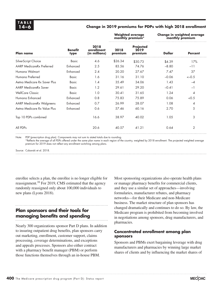### **14–6 Change in 2019 premiums for PDPs with high 2018 enrollment**

|                                  |                        |                                     |                 | <b>Weighted average</b><br>monthly premium* | Change in weighted average<br>monthly premium |                |  |
|----------------------------------|------------------------|-------------------------------------|-----------------|---------------------------------------------|-----------------------------------------------|----------------|--|
| <b>Plan name</b>                 | <b>Benefit</b><br>type | 2018<br>enrollment<br>(in millions) | 2018<br>premium | <b>Projected</b><br>2019<br>premium         | <b>Dollar</b>                                 | <b>Percent</b> |  |
| SilverScript Choice              | <b>Basic</b>           | 4.6                                 | \$26.34         | \$30.73                                     | \$4.39                                        | 17%            |  |
| <b>AARP MedicareRx Preferred</b> | Enhanced               | 2.5                                 | 83.56           | 74.76                                       | $-8.80$                                       | $-11$          |  |
| Humana Walmart                   | Enhanced               | 2.4                                 | 20.20           | 27.67                                       | 7.47                                          | 37             |  |
| Humana Preferred                 | <b>Basic</b>           | 1.6                                 | 31.16           | 31.10                                       | $-0.06$                                       | $<-0.5$        |  |
| Aetna Medicare Rx Saver Plus     | <b>Basic</b>           | 1.4                                 | 35.49           | 34.06                                       | 1.43                                          | $-4$           |  |
| <b>AARP MedicareRx Saver</b>     | <b>Basic</b>           | 1.2                                 | 29.61           | 29.20                                       | $-0.41$                                       | $-1$           |  |
| <b>WellCare Classic</b>          | <b>Basic</b>           | 1.0                                 | 30.41           | 31.65                                       | 1.24                                          | 4              |  |
| Humana Enhanced                  | Enhanced               | 0.8                                 | 75.83           | 75.89                                       | 0.06                                          | <0.5           |  |
| <b>AARP MedicareRx Walgreens</b> | Enhanced               | 0.7                                 | 26.99           | 28.07                                       | 1.08                                          | 4              |  |
| Aetna Medicare Rx Value Plus     | Enhanced               | 0.6                                 | 57.46           | 60.16                                       | 2.70                                          | 5              |  |
| Top 10 PDPs combined             |                        | 16.6                                | 38.97           | 40.02                                       | 1.05                                          | 3              |  |
| All PDPs                         |                        | 20.6                                | 40.57           | 41.21                                       | 0.64                                          | 2              |  |

Note: PDP (prescription drug plan). Components may not sum to stated totals due to rounding.

\*Reflects the average of all PDPs offered under the same plan name in each region of the country, weighted by 2018 enrollment. The projected weighted average premium for 2019 does not reflect any enrollment switching among plans.

Source: Cubanski et al. 2018.

enrollee selects a plan, the enrollee is no longer eligible for reassignment.<sup>16</sup> For 2019, CMS estimated that the agency randomly reassigned only about 100,000 individuals to new plans (Lyons 2018).

### **Plan sponsors and their tools for managing benefits and spending**

Nearly 300 organizations sponsor Part D plans. In addition to insuring outpatient drug benefits, plan sponsors carry out marketing, enrollment, customer support, claims processing, coverage determinations, and exceptions and appeals processes. Sponsors also either contract with a pharmacy benefit manager (PBM) or perform those functions themselves through an in-house PBM.

Most sponsoring organizations also operate health plans or manage pharmacy benefits for commercial clients, and they use a similar set of approaches—involving formularies, manufacturer rebates, and pharmacy networks—for their Medicare and non-Medicare business. The market structure of plan sponsors has changed dramatically and continues to do so. By law, the Medicare program is prohibited from becoming involved in negotiations among sponsors, drug manufacturers, and pharmacies.

### **Concentrated enrollment among plan sponsors**

Sponsors and PBMs exert bargaining leverage with drug manufacturers and pharmacies by winning large market shares of clients and by influencing the market shares of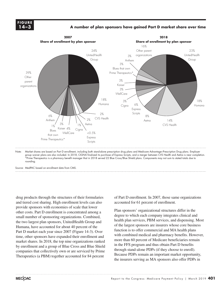### **FIGURE FIGURE X-X 14–3**

### **A number of plan sponsors have gained Part D market share over time Medicare population**



Note: Market shares are based on Part D enrollment, including both stand-alone prescription drug plans and Medicare Advantage–Prescription Drug plans. Employer group waiver plans are also included. In 2018, CIGNA finalized its purchase of Express Scripts, and a merger between CVS Health and Aetna is near completion. \*Prime Therapeutics is a pharmacy benefit manager that in 2018 served 22 Blue Cross/Blue Shield plans. Components may not sum to stated totals due to rounding.  $\alpha$ 

Source: MedPAC based on enrollment data from CMS.

drug products through the structures of their formularies and tiered cost sharing. High enrollment levels can also provide sponsors with economies of scale that lower other costs. Part D enrollment is concentrated among a small number of sponsoring organizations. Combined, the two largest plan sponsors, UnitedHealth Group and Humana, have accounted for about 40 percent of the Part D market each year since 2007 (Figure 14-3). Over time, other sponsors have expanded their enrollment and market shares. In 2018, the top nine organizations ranked by enrollment and a group of Blue Cross and Blue Shield companies that collectively own or are serviced by Prime Therapeutics (a PBM) together accounted for 84 percent

of Part D enrollment. In 2007, those same organizations accounted for 61 percent of enrollment.

Plan sponsors' organizational structures differ in the degree to which each company integrates clinical and health plan services, PBM services, and dispensing. Most of the largest sponsors are insurers whose core business function is to offer commercial and MA health plans with combined medical and pharmacy benefits. However, more than 60 percent of Medicare beneficiaries remain in the FFS program and thus obtain Part D benefits through stand-alone PDPs (if they choose to enroll). Because PDPs remain an important market opportunity, the insurers serving as MA sponsors also offer PDPs in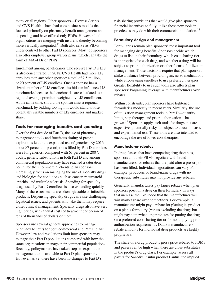many or all regions. Other sponsors—Express Scripts and CVS Health—have had core business models that focused primarily on pharmacy benefit management and dispensing and have offered only PDPs. However, both organizations are merging with insurers, thereby becoming more vertically integrated.<sup>17</sup> Both also serve as PBMs under contract to other Part D sponsors. Most top sponsors also offer employer group waiver plans, which can take the form of MA−PDs or PDPs.

Enrollment among beneficiaries who receive Part D's LIS is also concentrated. In 2018, CVS Health had more LIS enrollees than any other sponsor: a total of 2.5 million, or 20 percent of LIS enrollees. Once a sponsor has a sizable number of LIS enrollees, its bid can influence LIS benchmarks because the benchmarks are calculated as a regional average premium weighted by LIS enrollment. At the same time, should the sponsor miss a regional benchmark by bidding too high, it would stand to lose potentially sizable numbers of LIS enrollees and market share.

### **Tools for managing benefits and spending**

Over the first decade of Part D, the use of pharmacy management tools and fortuitous timing of patent expirations led to the expanded use of generics. By 2016, about 87 percent of prescriptions filled by Part D enrollees were for generics, compared with 61 percent in 2007. Today, generic substitutions in both Part D and among commercial populations may have reached a saturation point. For their commercial clients, plan sponsors increasingly focus on managing the use of specialty drugs and biologics for conditions such as cancer, rheumatoid arthritis, and multiple sclerosis. Spending for specialty drugs used by Part D enrollees is also expanding quickly. Many of these treatments are often injectable or infusible products. Dispensing specialty drugs can raise challenging logistical issues, and patients who take them may require closer clinical management. Specialty drugs also have very high prices, with annual costs of treatment per person of tens of thousands of dollars or more.

Sponsors use several general approaches to manage pharmacy benefits for both commercial and Part D plans. However, law and regulations limit how sponsors may manage their Part D populations compared with how the same organizations manage their commercial populations. Recently, policymakers have taken steps to expand the management tools available to Part D plan sponsors. However, as yet there have been no changes to Part D's

risk-sharing provisions that would give plan sponsors financial incentives to fully utilize those new tools in practice as they do with their commercial population.<sup>18</sup>

### **Formulary design and management**

Formularies remain plan sponsors' most important tool for managing drug benefits. Sponsors decide which drugs to list on their formulary, which cost-sharing tier is appropriate for each drug, and whether a drug will be subject to prior authorization or other forms of utilization management. Those decisions require that plan sponsors strike a balance between providing access to medications while encouraging enrollees to use preferred therapies. Greater flexibility to use such tools also affects plan sponsors' bargaining leverage with manufacturers over rebates.

Within constraints, plan sponsors have tightened formularies modestly in recent years. Similarly, the use of utilization management tools in Part D—quantity limits, step therapy, and prior authorization—has grown.<sup>19</sup> Sponsors apply such tools for drugs that are expensive, potentially risky, or subject to abuse, misuse, and experimental use. These tools are also intended to encourage the use of lower cost therapies.

### **Manufacturer rebates**

In drug classes that have competing drug therapies, sponsors and their PBMs negotiate with brand manufacturers for rebates that are paid after a prescription has been filled. Individual negotiations can vary. For example, producers of brand-name drugs with no therapeutic substitutes may not provide any rebates.

Generally, manufacturers pay larger rebates when plan sponsors position a drug on their formulary in ways that increase the likelihood that the manufacturer will win market share over competitors. For example, a manufacturer might pay a rebate for placing its product on a plan's formulary (versus excluding the drug) but might pay somewhat larger rebates for putting the drug on a preferred cost-sharing tier or for not applying prior authorization requirements. Data on manufacturers' rebate amounts for individual drug products are highly proprietary.

The share of a drug product's gross price rebated to PBMs and payers can be high when there are close substitutes in the product's drug class. For example, across all payers for Sanofi's insulin product Lantus, the implied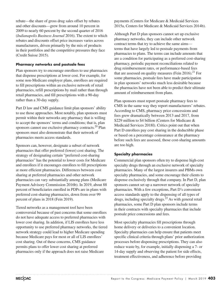rebate—the share of gross drug sales offset by rebates and other discounts—grew from around 10 percent in 2009 to nearly 60 percent by the second quarter of 2016 (*Indianapolis Business Journal* 2016). The extent to which rebates and discounts offset price increases varies across manufacturers, driven primarily by the mix of products in their portfolios and the competitive pressures they face (Credit Suisse 2015).

### **Pharmacy networks and postsale fees**

Plan sponsors try to encourage enrollees to use pharmacies that dispense prescriptions at lower cost. For example, for some non-Medicare employer plans, enrollees are required to fill prescriptions within an exclusive network of retail pharmacies, refill prescriptions by mail rather than through retail pharmacies, and fill prescriptions with a 90-day rather than a 30-day supply.

Part D law and CMS guidance limit plan sponsors' ability to use those approaches. Most notably, plan sponsors must permit within their networks any pharmacy that is willing to accept the sponsors' terms and conditions; that is, plan sponsors cannot use exclusive pharmacy contracts.<sup>20</sup> Plan sponsors must also demonstrate that their network of pharmacies meets access standards.

Sponsors can, however, designate a subset of network pharmacies that offer preferred (lower) cost sharing. The strategy of designating certain "preferred cost-sharing pharmacies" has the potential to lower costs for Medicare and enrollees if it encourages enrollees to fill prescriptions at more efficient pharmacies. Differences between cost sharing at preferred pharmacies and other network pharmacies can vary substantially among plans (Medicare Payment Advisory Commission 2016b). In 2019, about 88 percent of beneficiaries enrolled in PDPs are in plans with preferred cost-sharing pharmacies, down from over 99 percent of plans in 2018 (Fein 2019).

Tiered networks as a management tool have been controversial because of past concerns that some enrollees do not have adequate access to preferred pharmacies with lower cost sharing. In addition, if LIS enrollees have less opportunity to use preferred pharmacy networks, the tiered network strategy could lead to higher Medicare spending because Medicare pays for most or all of LIS enrollees' cost sharing. Out of these concerns, CMS guidance permits plans to offer lower cost sharing at preferred pharmacies only if the approach does not raise Medicare

payments (Centers for Medicare & Medicaid Services 2015a, Centers for Medicare & Medicaid Services 2014b).

Although Part D plan sponsors cannot set up exclusive pharmacy networks, they can include other network contract terms that try to achieve the same aims terms that have largely led to postsale payments from pharmacies to plans. The terms can include amounts that are a condition for participating as a preferred cost-sharing pharmacy, periodic payment reconciliations related to drug reimbursement rates, or performance-based fees that are assessed on quality measures (Fein 2016).<sup>21</sup> For some pharmacies, postsale fees have made participation in plan sponsors' networks much less desirable because the pharmacies have not been able to predict their ultimate amount of reimbursement from plans.

Plan sponsors must report postsale pharmacy fees to CMS in the same way they report manufacturers' rebates. According to CMS, pharmacy price concessions and fees grew dramatically between 2013 and 2017, from \$229 million to \$4 billion (Centers for Medicare & Medicaid Services 2018l). Critics point out that when Part D enrollees pay cost sharing in the deductible phase or based on a percentage coinsurance at the pharmacy before such fees are assessed, those cost-sharing amounts are too high.

### **Specialty pharmacies**

Commercial plan sponsors often try to dispense high-cost specialty drugs through an exclusive network of specialty pharmacies. Many of the largest insurers and PBMs own specialty pharmacies, and some encourage their clients to dispense exclusively through that company. In Part D, plan sponsors cannot set up a narrower network of specialty pharmacies. With a few exceptions, Part D's convenient access standards apply to the dispensing of all types of drugs, including specialty drugs.<sup>22</sup> As with general retail pharmacies, some Part D plan sponsors include terms in their contracts with specialty pharmacies that include postsale price concessions and fees.

Most specialty pharmacies fill prescriptions through home delivery or deliveries to a convenient location. Specialty pharmacies can help ensure that patients meet specific clinical criteria through plans' prior authorization processes before dispensing prescriptions. They can also reduce waste by, for example, initially dispensing a 7- or 14-day supply and observing the patient for side effects, treatment effectiveness, and adherence before providing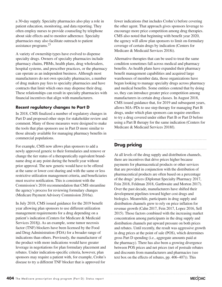a 30-day supply. Specialty pharmacies also play a role in patient education, monitoring, and data reporting. They often employ nurses to provide counseling by telephone about side effects and to monitor adherence. Specialty pharmacies may also facilitate outreach to patient assistance programs.<sup>23</sup>

A variety of ownership types have evolved to dispense specialty drugs. Owners of specialty pharmacies include pharmacy chains, PBMs, health plans, drug wholesalers, hospital systems, and prescriber practices, or the pharmacy can operate as an independent business. Although most manufacturers do not own specialty pharmacies, a number of drug makers pay fees to specialty pharmacies and have contracts that limit which ones may dispense their drug. These relationships can result in specialty pharmacies with financial incentives that align with manufacturers.

### **Recent regulatory changes to Part D**

In 2018, CMS finalized a number of regulatory changes in Part D and proposed other steps for stakeholder review and comment. Many of those measures were designed to make the tools that plan sponsors use in Part D more similar to those already available for managing pharmacy benefits in commercial populations.

For example, CMS now allows plan sponsors to add a newly approved generic to their formularies and remove or change the tier status of a therapeutically equivalent brandname drug at any point during the benefit year without prior approval. The new generic would have to be offered at the same or lower cost sharing and with the same or less restrictive utilization management criteria, and beneficiaries must receive notification. This is consistent with the Commission's 2016 recommendation that CMS streamline the agency's process for reviewing formulary changes (Medicare Payment Advisory Commission 2016a).

In July 2018, CMS issued guidance for the 2019 benefit year allowing plan sponsors to use different utilization management requirements for a drug depending on a patient's indication (Centers for Medicare & Medicaid Services 2018j). As an example, some tumor necrosis factor (TNF) blockers have been licensed by the Food and Drug Administration (FDA) for a broader range of indications than others. Previously, the manufacturer of the product with more indications would have greater leverage in negotiations for plan formulary placement and rebates. Under indication-specific criteria, however, plan sponsors may require a patient with, for example, Crohn's disease to try a different TNF blocker that is approved for

fewer indications (but includes Crohn's) before covering the other agent. That approach gives sponsors leverage to encourage more price competition among drug therapies. CMS also noted that beginning with benefit year 2020, the agency will allow plan sponsors to limit on-formulary coverage of certain drugs by indication (Centers for Medicare & Medicaid Services 2018i).

Alternative therapies that can be used to treat the same condition sometimes fall across medical and pharmacy benefits. As health plans have expanded their pharmacy benefit management capabilities and acquired large warehouses of member data, those organizations have begun looking to manage specialty drugs across pharmacy and medical benefits. Some entities contend that by doing so, they can introduce greater price competition among manufacturers in certain drug classes. In August 2018, CMS issued guidance that, for 2019 and subsequent years, allows MA–PDs to use step therapy for managing Part B drugs, under which plan sponsors can require enrollees to try a drug covered under either Part B or Part D before using a Part B therapy for the same indication (Centers for Medicare & Medicaid Services 2018f).

### **Drug pricing**

At all levels of the drug supply and distribution channels, there are incentives that drive prices higher because payments for pharmaceutical products or other services that are provided in conjunction with the distribution of pharmaceutical products are often based on a percentage of the drugs' prices (Diplomat Specialty Pharmacy 2017, Fein 2018, Feldman 2018, Garthwaite and Morton 2017). Over the past decade, manufacturers have shifted their development pipelines toward higher cost drugs and biologics. Meanwhile, participants in drug supply and distribution channels grew to rely on price inflation for revenue growth (Cahn 2017, Fein 2017, Lopez 2016, Sell 2015). Those factors combined with the increasing market concentration among participants in the drug supply and distribution channels put upward pressure on both prices and rebates. Until recently, the result was aggressive growth in drug prices at the point of sale (POS), which determines gross Part D spending (i.e., aggregate amounts paid at the pharmacy). There has also been a growing divergence between POS prices and net prices (net of postsale rebates and discounts from manufacturers and pharmacies (see text box on the effects of rebates, pp. 406–407)). This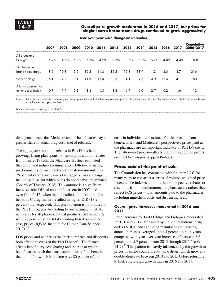**14–7 Overall price growth moderated in 2016 and 2017, but prices for single-source brand-name drugs continued to grow aggressively**

|                                              | 2007    | 2008    | 2009    | 2010                   | 2011 | 2012    | 2013   | 2014   |         | 2015 2016 2017 |        | Cumulative<br>2006-2017 |
|----------------------------------------------|---------|---------|---------|------------------------|------|---------|--------|--------|---------|----------------|--------|-------------------------|
| All drugs and<br>biologics                   | 5.9%    | 4.7%    | $5.2\%$ | 5.5%                   | 4.9% | 3.8%    | 8.6%   | 7.8%   | 5.7%    | 4.0%           | 4.3%   | 80%                     |
| Single-source<br>brand-name drugs            | 8.2     | 10.3    | 9.2     | 10.5                   | 11.3 | 12.5    | 12.8   | 13.9   | 11.2    | 8.0            | 8.7    | 216                     |
| Generic drugs                                | $-16.4$ | $-12.3$ |         | $-8.1$ $-11.5$ $-17.3$ |      | $-22.8$ | $-4.1$ | $-9.3$ | $-13.0$ | $-12.3$        | $-4.1$ | $-80$                   |
| After accounting for<br>generic substitution | $-0.7$  | 1.9     | 2.8     | 1.1                    | 1.3  | $-8.2$  | 6.7    | 6.0    | 2.7     | $-0.2$         | 1.6    | 12                      |

**Year-over-year price change (in December)**

Note: Prices are measured by chain-weighted Fisher price indexes that reflect total amounts paid to pharmacies (i.e., do not reflect retrospective rebates or discounts from manufacturers and pharmacies).

Source: Acumen LLC analysis for MedPAC.

divergence means that Medicare and its beneficiaries pay a greater share of actual drug costs (net of rebates).

The aggregate amount of rebates in Part D has been growing. Using plan sponsors' assumptions about rebates from their 2019 bids, the Medicare Trustees estimated that direct and indirect remuneration (DIR)—consisting predominantly of manufacturers' rebates—amounted to 26 percent of total drug costs (averaged across all drugs, including those for which plans do not receive any rebates) (Boards of Trustees 2018). This amount is a significant increase from DIR of about 9.6 percent in 2007, and even from 2015, when the intensified competition in the hepatitis C drug market resulted in higher DIR (18.2 percent) than expected. This phenomenon is not limited to the Part D program. According to one estimate, in 2016, net prices for all pharmaceutical products sold in the U.S. were 28 percent below total spending based on invoice (list) prices (IQVIA Institute for Human Data Science  $2017$ ).<sup>24</sup>

POS prices and net prices that reflect rebates and discounts both affect the costs of the Part D benefit. The former affects beneficiary cost sharing and the rate at which beneficiaries reach the catastrophic phase of the benefit, the point after which Medicare pays 80 percent of the

costs in individual reinsurance. For this reason, from beneficiaries' and Medicare's perspectives, prices paid at the pharmacy are an important indicator of Part D's costs. The latter—net prices—affects premiums and plan profits (see text box on prices, pp. 406–407).

### **Prices paid at the point of sale**

The Commission has contracted with Acumen LLC for many years to construct a series of volume-weighted price indexes. The indexes do not reflect retrospective rebates or discounts from manufacturers and pharmacies; rather, they reflect POS prices—total amounts paid to the pharmacies, including ingredient costs and dispensing fees.

### **Overall price increases moderated in 2016 and 2017**

Price increases for Part D drugs and biologics moderated in 2016 and 2017. Measured by individual national drug codes (NDCs) and excluding manufacturers' rebates, annual increases averaged about 4 percent in both years, compared with year-over-year increases of between 8.6 percent and 5.7 percent from 2013 through 2015 (Table 14-7).<sup>25</sup> This pattern is heavily influenced by the growth in prices of single-source brand-name drugs, which grew at a double-digit rate between 2010 and 2015 before returning to high single-digit growth rates in 2016 and 2017.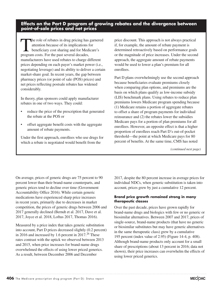### **Effects on the Part D program of growing rebates and the divergence between point-of-sale prices and net prices**

The role of rebates in drug pricing has garnered<br>
attention because of its implications for<br>
beneficiary cost sharing and for Medicare's<br>
program costs. For the past several decedes attention because of its implications for program costs. For the past several decades, manufacturers have used rebates to charge different prices depending on each payer's market power (i.e., negotiating leverage) and its ability to deliver a certain market-share goal. In recent years, the gap between pharmacy prices (or point of sale (POS) prices) and net prices reflecting postsale rebates has widened considerably.

In theory, plan sponsors could apply manufacturer rebates in one of two ways. They could:

- reduce the price of the prescription that generated the rebate at the POS or
- offset aggregate benefit costs with the aggregate amount of rebate payments.

Under the first approach, enrollees who use drugs for which a rebate is negotiated would benefit from the

price discount. This approach is not always practical if, for example, the amount of rebate payment is determined retroactively based on performance goals or the magnitude of price increases. Under the second approach, the aggregate amount of rebate payments would be used to lower a plan's premium for all enrollees.

Part D plans overwhelmingly use the second approach because beneficiaries evaluate premiums closely when comparing plan options, and premiums are the basis on which plans qualify as low-income subsidy (LIS) benchmark plans. Using rebates to reduce plan premiums lowers Medicare program spending because (1) Medicare retains a portion of aggregate rebates to offset a share of program payments for individual reinsurance and (2) the rebates lower the subsidies Medicare pays for a portion of plan premiums for all enrollees. However, an opposite effect is that a higher proportion of enrollees reach Part D's out-of-pocket threshold—the point at which Medicare pays for 80 percent of benefits. At the same time, CMS has noted

*(continued next page)*

On average, prices of generic drugs are 75 percent to 90 percent lower than their brand-name counterparts, and generic prices tend to decline over time (Government Accountability Office 2016). While certain generic medications have experienced sharp price increases in recent years, primarily due to decreases in market competition, the prices of generic drugs between 2006 and 2017 generally declined (Berndt et al. 2017, Dave et al. 2017, Joyce et al. 2018, Loftus 2017, Thomas 2016).

Measured by a price index that takes generic substitution into account, Part D prices decreased slightly (0.2 percent) in 2016 and increased by 1.6 percent in  $2017<sup>26</sup>$  These rates contrast with the uptick we observed between 2013 and 2015, when price increases for brand-name drugs overwhelmed the effects of using lower priced generics. As a result, between December 2006 and December

2017, despite the 80 percent increase in average prices for individual NDCs, when generic substitution is taken into account, prices grew by just a cumulative 12 percent.

### **Brand price growth remained strong in many therapeutic classes**

Over the past decade, prices have grown rapidly for brand-name drugs and biologics with few or no generic or biosimilar alternatives. Between 2007 and 2017, prices of single-source, brand-name products (that have no generic or biosimilar substitutes but may have generic alternatives in the same therapeutic class) grew by a cumulative 195 percent (index value of 2.95) (Figure 14-4, p. 408). Although brand-name products only account for a small share of prescriptions (about 13 percent in 2016; data not shown), their price increases can overwhelm the effects of using lower priced generics.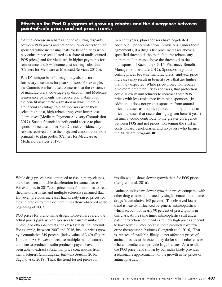### **Effects on the Part D program of growing rebates and the divergence between point-of-sale prices and net prices (cont.)**

that the increase in rebates and the resulting disparity between POS prices and net prices lower costs for plan sponsors while increasing costs for beneficiaries who pay coinsurance (calculated as a share of undiscounted POS prices) and for Medicare, in higher payments for reinsurance and low-income cost-sharing subsidies (Centers for Medicare & Medicaid Services 2017b).

Part D's unique benefit design may also distort formulary incentives for plan sponsors. For example, the Commission has raised concerns that the existence of manufacturers' coverage-gap discount and Medicare reinsurance payments that reduce plan liability for the benefit may create a situation in which there is a financial advantage to plan sponsors when they select high-cost, high-rebate drugs over lower cost alternatives (Medicare Payment Advisory Commission 2017). Such a financial benefit could accrue to plan sponsors because, under Part D's risk corridors, any rebates received above the projected amount contribute primarily to plan profits (Centers for Medicare & Medicaid Services 2017b).

In recent years, plan sponsors have negotiated additional "price-protection" provisions. Under these agreements, if a drug's list price increases above a specified threshold, the manufacturer rebates any incremental increase above the threshold to the plan sponsor (Kaczmarek 2015, Pharmacy Benefit Management Institute 2017). Sponsors negotiate ceiling prices because manufacturers' midyear price increases may result in benefit costs that are higher than they expected. While price-protection rebates give more predictability to sponsors, that protection could allow manufacturers to increase their POS prices with less resistance from plan sponsors. (In addition, it does not protect sponsors from annual price increases as the price protection only applies to price increases that occur during a given benefit year.) In turn, it could contribute to the greater divergence between POS and net prices, worsening the shift in costs toward beneficiaries and taxpayers who finance the Medicare program. ■

While drug prices have continued to rise in many classes, there has been a notable deceleration for some classes. For example, in 2017, our price index for therapies to treat rheumatoid arthritis and multiple sclerosis remained flat. However, previous increases had already raised prices for these therapies to three or more times those observed at the beginning of 2007.

POS prices for brand-name drugs, however, are rarely the actual prices paid by plan sponsors because manufacturer rebates and other discounts can offset substantial amounts. For example, between 2007 and 2016, insulin prices grew by a cumulative 249 percent (index value of 3.49) (Figure 14-4, p. 408). However, because multiple manufacturers compete to produce insulin products, payers have been able to extract substantial price concessions from manufacturers (*Indianapolis Business Journal* 2016, Sagonowsky 2018). Thus, the trend for net prices for

insulin would show slower growth than for POS prices (Langreth et al. 2016).

Antineoplastics saw slower growth in prices compared with other drug classes dominated by single-source brand-name drugs (a cumulative 168 percent). The observed lower trend is heavily influenced by generic antineoplastics, which account for nearly 90 percent of prescriptions in this class. At the same time, antineoplastics still under patent protection command extremely high prices and tend to have lower rebates because these products have few or no therapeutic substitutes (Langreth et al. 2016). That is, rebates, if available, likely do not affect net prices of antineoplastics to the extent they do for some other classes where manufacturers provide larger rebates. As a result, the POS price trend shown by our index likely provides a reasonable approximation of the growth in net prices of antineoplastics.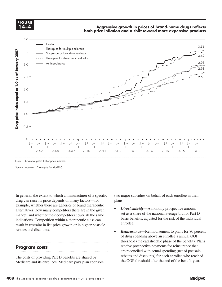**FIGURE FIGURE 14-X 14–4**

### **Aggressive growth in prices of brand-name drugs reflects both price inflation and a shift toward more expensive products**



In general, the extent to which a manufacturer of a specific drug can raise its price depends on many factors—for example, whether there are generics or brand therapeutic example is the lines of the lines with a pattern by applying graphic styles from the 'figure styles' lines from the 'figure styles' lines from the 'figure styles' li alternatives, how many competitors there are in the given **Figure 2** *Direct substay*—A monthly prospective amount market, and whether their competitors cover all the same set as a share of the national average big for Part D indications. Competition within a therapeutic class can result in restraint in list-price growth or in higher postsale enrollee.<br> **reparts** rebates and discounts.

### **Program costs**

The costs of providing Part D benefits are shared by Medicare and its enrollees. Medicare pays plan sponsors

eral, the extent to which a manufacturer of a specific two major subsidies on behalf of each enrollee in their plans:

- *Direct subsidy***—**A monthly prospective amount set as a share of the national average bid for Part D basic benefits, adjusted for the risk of the individual enrollee.
- *• Reinsurance—*Reimbursement to plans for 80 percent **Examined Examing above an enrollee's annual OOP** of drug spending above an enrollee's annual OOP threshold (the catastrophic phase of the benefit). Plans receive prospective payments for reinsurance that are reconciled with actual spending (net of postsale rebates and discounts) for each enrollee who reached the OOP threshold after the end of the benefit year.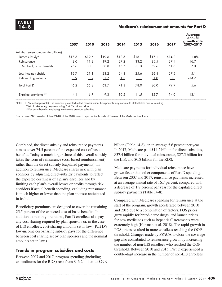### **14–8 Medicare's reimbursement amounts for Part D**

|                                     | 2007   | 2010   | 2013   | 2014   | 2015       | 2016   | 2017   | <b>Average</b><br>annual<br>growth rate<br>2007-2017 |
|-------------------------------------|--------|--------|--------|--------|------------|--------|--------|------------------------------------------------------|
| Reimbursement amount (in billions): |        |        |        |        |            |        |        |                                                      |
| Direct subsidy*                     | \$17.6 | \$19.6 | \$19.6 | \$18.5 | \$18.1     | \$17.1 | \$14.2 | $-1.8%$                                              |
| Reinsurance                         | 8.0    | 11.2   | 19.2   | 27.2   | 33.2       | 35.5   | 37.4   | 16.7                                                 |
| Subtotal, basic benefits            | 25.6   | 30.8   | 38.8   | 45.7   | 51.3       | 52.6   | 51.6   | 7.3                                                  |
| Low-income subsidy                  | 16.7   | 21.1   | 23.2   | 24.3   | 25.6       | 26.4   | 27.5   | 5.1                                                  |
| Retiree drug subsidy                | 3.9    | 3.9    | 1.7    | 1.3    | $\perp$ .1 | 1.0    | 0.8    | $-14.7$                                              |
| <b>Total Part D</b>                 | 46.2   | 55.8   | 63.7   | 71.3   | 78.0       | 80.0   | 79.9   | 5.6                                                  |
| Enrollee premiums**                 | 4.1    | 6.7    | 9.3    | 10.5   | 11.5       | 12.7   | 14.0   | 13.1                                                 |

Note: N/A (not applicable). The numbers presented reflect reconciliation. Components may not sum to stated totals due to rounding. \*Net of risk-sharing payments using Part D's risk corridors.

\*\*For basic benefits, excluding low-income premium subsidies.

Source: MedPAC based on Table IV.B10 of the 2018 annual report of the Boards of Trustees of the Medicare trust funds.

Combined, the direct subsidy and reinsurance payments aim to cover 74.5 percent of the expected cost of basic benefits. Today, a much larger share of this overall subsidy takes the form of reinsurance (cost-based reimbursement) rather than the direct subsidy (capitated payments). In addition to reinsurance, Medicare shares risk with plan sponsors by adjusting direct-subsidy payments to reflect the expected costliness of a plan's enrollees and by limiting each plan's overall losses or profits through risk corridors if actual benefit spending, excluding reinsurance, is much higher or lower than the plan sponsor anticipated in its bid.

Beneficiary premiums are designed to cover the remaining 25.5 percent of the expected cost of basic benefits. In addition to monthly premiums, Part D enrollees also pay any cost sharing required by plan sponsors or, in the case of LIS enrollees, cost-sharing amounts set in law. (Part D's low-income cost-sharing subsidy pays for the difference between cost sharing set by plan sponsors and the nominal amounts set in law.)

### **Trends in program subsidies and costs**

Between 2007 and 2017, program spending (including expenditures for the RDS) rose from \$46.2 billion to \$79.9 billion (Table 14-8), or an average 5.6 percent per year. In 2017, Medicare paid \$14.2 billion for direct subsidies, \$37.4 billion for individual reinsurance, \$27.5 billion for the LIS, and \$0.8 billion for the RDS.

Medicare payments for individual reinsurance have grown faster than other components of Part D spending. Between 2007 and 2017, reinsurance payments increased at an average annual rate of 16.7 percent, compared with a decrease of 1.8 percent per year for the capitated direct subsidy payments (Table 14-8).

Compared with Medicare spending for reinsurance at the start of the program, growth accelerated between 2010 and 2015 due to a combination of factors. POS prices grew rapidly for brand-name drugs, and launch prices for new medicines such as hepatitis C treatments were extremely high (Hartman et al. 2018). The rapid growth in POS prices resulted in more enrollees reaching the OOP threshold. Changes made by PPACA to close the coverage gap also contributed to reinsurance growth by increasing the number of non-LIS enrollees who reached the OOP threshold. Between 2010 and 2015, Part D experienced a double-digit increase in the number of non-LIS enrollees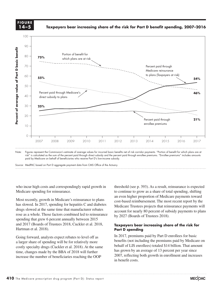**FIGURE 14-X FIGURE 14–5**

**Taxpayers bear increasing share of the risk for Part D benefit spending, 2007–2016**



Note: Figures represent the Commission's estimate of average values for incurred basic benefits net of risk corridor payments. "Portion of benefit for which plans are at risk" is calculated as the sum of the percent paid through direct subsidy and the percent paid through enrollee premiums. "Enrollee premiums" includes amounts paid by Medicare on behalf of beneficiaries who receive Part D's low-income subsidy.

Source: MedPAC based on Part D aggregate payment data from CMS Office of the Actuary.

who incur high costs and correspondingly rapid growth in thresho Medicare spending for reinsurance.

Most recently, growth in Medicare's reinsurance to plans has slowed. In 2017, spending for hepatitis C and diabetes drugs slowed at the same time that manufacturer rebates rose as a whole. Those factors combined led to reinsurance spending that grew 6 percent annually between 2015 and 2017 (Boards of Trustees 2018, Cuckler et al. 2018, **Taxpayers bear increasing solution** Hartman et al. 2018).

Going forward, analysts expect rebates to level off as a larger share of spending will be for relatively more  $\frac{1}{1}$ costly specialty drugs (Cuckler et al. 2018). At the same time, changes made by the BBA of 2018 will further increase the number of beneficiaries reaching the OOP

threshold (see p. 393). As a result, reinsurance is expected to continue to grow as a share of total spending, shifting are spending for refinsurance.<br>
an even higher proportion of Medicare payments toward and axis lines because they kept resetting when I changed any data. recently, growth in Medicare's reinsurance to plans cost-based reimbursement. The most recent report by the we d. In 2017, spending for nepatitis C and diabetes Medicare Trustees projects that reinsurance payments will alwayd at the same time that manufacturer relates slowed at the same time that manufacturer repates<br>since a whole. Those factors combined led to rejnsurance by 2027 (Boards of Trustees 2018).

### **Taxpayers bear increasing share of the risk for Part D spending** an et al.  $2018$ ).  $Part D$  spending

In 2017, premiums paid by Part D enrollees for basic benefits (not including the premiums paid by Medicare on behalf of LIS enrollees) totaled \$14 billion. That amount has grown by an average of 13 percent per year since 2007, reflecting both growth in enrollment and increases in benefit costs.

**Mixed success...**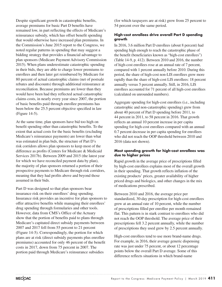Despite significant growth in catastrophic benefits, average premiums for basic Part D benefits have remained low, in part reflecting the effects of Medicare's reinsurance subsidy, which has offset benefit spending that would otherwise have increased plan premiums. In the Commission's June 2015 report to the Congress, we noted regular patterns in spending that may suggest a bidding strategy that provides a financial advantage to plan sponsors (Medicare Payment Advisory Commission 2015). When plans underestimate catastrophic spending in their bids, they are able to charge lower premiums to enrollees and then later get reimbursed by Medicare for 80 percent of actual catastrophic claims (net of postsale rebates and discounts) through additional reinsurance at reconciliation. Because premiums are lower than they would have been had they reflected actual catastrophic claims costs, in nearly every year since 2007, the portion of basic benefits paid through enrollee premiums has been below the 25.5 percent objective specified in law (Figure 14-5).

At the same time, plan sponsors have bid too high on benefit spending other than catastrophic benefits. To the extent that actual costs for the basic benefits (excluding Medicare's reinsurance payments) are lower than what was estimated in plan bids, the structure of Part D's risk corridors allows plan sponsors to keep most of the difference as profits (Centers for Medicare & Medicaid Services 2017b). Between 2009 and 2015 (the latest year for which we have reconciled payment data by plan), the majority of plan sponsors returned a portion of their prospective payments to Medicare through risk corridors, meaning that they had profits above and beyond those assumed in their bids.

Part D was designed so that plan sponsors bear insurance risk on their enrollees' drug spending. Insurance risk provides an incentive for plan sponsors to offer attractive benefits while managing their enrollees' drug spending through formularies and other tools. However, data from CMS's Office of the Actuary show that the portion of benefits paid to plans through Medicare's capitated direct subsidy payments between 2007 and 2017 fell from 55 percent to 21 percent (Figure 14-5). Correspondingly, the portion for which plans are at risk (direct subsidy payments plus enrollee premiums) accounted for only 46 percent of the benefit costs in 2017, down from 75 percent in 2007. The portion paid through Medicare's reinsurance subsidies

(for which taxpayers are at risk) grew from 25 percent to 54 percent over the same period.

### **High-cost enrollees drive overall Part D spending growth**

In 2016, 3.6 million Part D enrollees (about 8 percent) had spending high enough to reach the catastrophic phase of the benefit (beneficiaries known as "high-cost enrollees") (Table 14-9, p. 412). Between 2010 and 2016, the number of high-cost enrollees rose at an annual rate of 7 percent, compared with 1 percent annually before 2010. During this period, the share of high-cost non-LIS enrollees grew more rapidly than the share of high-cost LIS enrollees: 18 percent annually versus 5 percent annually. Still, in 2016, LIS enrollees accounted for 71 percent of all high-cost enrollees (calculated on unrounded numbers).

Aggregate spending for high-cost enrollees (i.e., including catastrophic and non-catastrophic spending) grew from about 40 percent of Part D spending before 2011, to 44 percent in 2011, to 58 percent in 2016. That growth reflects an annual 10 percent increase in per capita spending for high-cost enrollees compared with an annual 0.7 percent decrease in per capita spending for enrollees who did not reach the OOP threshold between 2010 and 2016 (data not shown).

### **Most spending growth for high-cost enrollees was due to higher prices**

Rapid growth in the average price of prescriptions filled by high-cost enrollees explains most of the overall growth in their spending. That growth reflects inflation of the existing products' prices, greater availability of higher priced drugs and biologics, and other changes in the mix of medications prescribed.

Between 2010 and 2016, the average price per standardized, 30-day prescription for high-cost enrollees grew at an annual rate of 10 percent, while the number of prescriptions filled per enrollee per month remained flat. This pattern is in stark contrast to enrollees who did not reach the OOP threshold. The average price of their prescriptions fell 3.2 percent annually, while the number of prescriptions they used grew by 2.5 percent annually.

High-cost enrollees tend to use more brand-name drugs. For example, in 2016, their average generic dispensing rate was just under 75 percent, or about 12 percentage points below the overall Part D average. Some of this difference reflects situations in which brand-name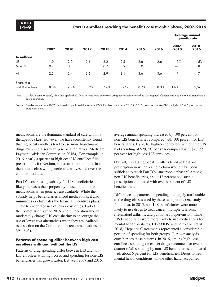### **14–9 Part D enrollees reaching the benefit's catastrophic phase, 2007–2016**

|                  |      |      |      |      |      |      | 2016 | Average annual<br>growth rate |                  |  |
|------------------|------|------|------|------|------|------|------|-------------------------------|------------------|--|
|                  | 2007 | 2010 | 2012 | 2013 | 2014 | 2015 |      | $2007 -$<br>2010              | $2010 -$<br>2016 |  |
| In millions      |      |      |      |      |      |      |      |                               |                  |  |
| <b>LIS</b>       | 1.9  | 2.0  | 2.1  | 2.2  | 2.5  | 2.6  | 2.6  | $1\%$                         | 5%               |  |
| Non-LIS          | 0.4  | 0.4  | 0.5  | 0.7  | 0.9  | 1.0  | -1.1 | $-2$                          | 18               |  |
| All              | 2.3  | 2.4  | 2.6  | 2.9  | 3.4  | 3.6  | 3.6  |                               |                  |  |
| Share of all     |      |      |      |      |      |      |      |                               |                  |  |
| Part D enrollees | 8.8% | 7.9% | 7.7% | 7.6% | 8.6% | 8.7% | 8.3% | N/A                           | N/A              |  |

Note: LIS (low-income subsidy), N/A (not applicable). Growth rates were calculated using figures before rounding was applied. Components may not sum to stated totals due to rounding.

Source: Enrollee counts from 2007 are based on published figures from CMS. Enrollee counts from 2010 to 2016 are based on MedPAC analysis of Part D prescription drug event data.

medications are the dominant standard of care within a therapeutic class. However, we have consistently found that high-cost enrollees tend to use more brand-name drugs even in classes with generic alternatives (Medicare Payment Advisory Commission 2016a). For example, in 2016, nearly a quarter of high-cost LIS enrollees filled prescriptions for Nexium, a proton pump inhibitor in a therapeutic class with generic alternatives and over-thecounter products.

Part D's cost-sharing subsidy for LIS beneficiaries likely increases their propensity to use brand-name medications when generics are available. While the subsidy helps beneficiaries afford medications, it also minimizes or eliminates the financial incentives plans create to encourage use of lower cost drugs. Part of the Commission's June 2016 recommendation would moderately change LIS cost sharing to encourage the use of lower cost alternatives when they are available (see section on the Commission's recommendations, pp. 394–395).

### **Patterns of spending differ between high-cost enrollees with and without the LIS**

Patterns of drug spending differ between LIS and non-LIS enrollees with high costs, and spending for non-LIS beneficiaries has grown faster. Between 2007 and 2016,

average annual spending increased by 190 percent for non-LIS beneficiaries compared with 100 percent for LIS beneficiaries. By 2016, high-cost enrollees without the LIS had spending of \$29,797 per year compared with \$20,899 per year for high-cost LIS enrollees.

Overall, 1 in 10 high-cost enrollees filled at least one prescription in which a single claim would have been sufficient to reach Part D's catastrophic phase.<sup>27</sup> Among non-LIS beneficiaries, about 18 percent had such a prescription compared with over 6 percent of LIS beneficiaries.

Differences in patterns of spending are largely attributable to the drug classes used by these two groups. One study found that, in 2015, non-LIS beneficiaries were more likely to use drugs to treat cancer, multiple sclerosis, rheumatoid arthritis, and pulmonary hypertension, while LIS beneficiaries were more likely to use medications for mental health, diabetes, HIV/AIDS, and pain (Trish et al. 2018). Hepatitis C treatments represented a considerable portion of spending for both groups. Our own analysis corroborates these patterns. In 2016, among high-cost enrollees, spending on cancer drugs accounted for over a quarter of all spending by non-LIS beneficiaries, compared with about 6 percent for LIS beneficiaries. Drugs to treat mental health conditions, on the other hand, accounted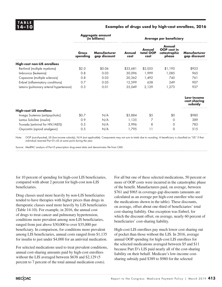### **14–10 Examples of drugs used by high-cost enrollees, 2016**

|                                            |                   | <b>Aggregate amount</b><br>(in billions) | <b>Average per beneficiary</b> |                             |                                                |                                       |  |  |
|--------------------------------------------|-------------------|------------------------------------------|--------------------------------|-----------------------------|------------------------------------------------|---------------------------------------|--|--|
|                                            | Gross<br>spending | Manufacturer<br>gap discount             | Annual<br>cost                 | Annual<br>total OOP<br>cost | Annual<br>OOP cost in<br>catastrophic<br>phase | Manufacturer<br>gap discount          |  |  |
| <b>High-cost non-LIS enrollees</b>         |                   |                                          |                                |                             |                                                |                                       |  |  |
| Revlimid (multiple myeloma)                | \$2.0             | \$0.06                                   | \$33,681                       | \$2,055                     | \$1,195                                        | \$923                                 |  |  |
| Imbruvica (leukemia)                       | 0.8               | 0.03                                     | 30,096                         | 1,999                       | 1,085                                          | 965                                   |  |  |
| Copaxone (multiple sclerosis)              | 0.8               | 0.03                                     | 20,362                         | 1,492                       | 745                                            | 761                                   |  |  |
| Enbrel (inflammatory conditions)           | 0.7               | 0.05                                     | 12,599                         | 638                         | 249                                            | 907                                   |  |  |
| Letairis (pulmonary arterial hypertension) | 0.3               | 0.01                                     | 35,049                         | 2,129                       | 1,273                                          | 937                                   |  |  |
|                                            |                   |                                          |                                |                             |                                                | Low-income<br>cost-sharing<br>subsidy |  |  |
| <b>High-cost LIS enrollees</b>             |                   |                                          |                                |                             |                                                |                                       |  |  |
| Invega Sustenna (antipsychotic)            | \$0.7             | N/A                                      | \$3,884                        | \$5                         | \$0                                            | \$980                                 |  |  |
| Lantus SoloStar (insulin)                  | 0.9               | N/A                                      | 1,135                          | 7                           | 0                                              | 389                                   |  |  |
| Truvada (antiviral for HIV/AIDS)           | 0.5               | N/A                                      | 3,996                          | 8                           | 0                                              | 783                                   |  |  |
| Oxycontin (opioid analgesic)               | 0.5               | N/A                                      | 1,795                          | 11                          | 0                                              | 515                                   |  |  |

Note: OOP (out-of-pocket), LIS (low-income subsidy), N/A (not applicable). Components may not sum to totals due to rounding. A beneficiary is classified as "LIS" if that individual received Part D's LIS at some point during the year.

Source: MedPAC analysis of Part D prescription drug event data and denominator file from CMS.

for 10 percent of spending for high-cost LIS beneficiaries, compared with about 2 percent for high-cost non-LIS beneficiaries.

Drug classes used more heavily by non-LIS beneficiaries tended to have therapies with higher prices than drugs in therapeutic classes used more heavily by LIS beneficiaries (Table 14-10). For example, in 2016, the annual cost of drugs to treat cancer and pulmonary hypertension, conditions more prevalent among non-LIS beneficiaries, ranged from just above \$30,000 to over \$35,000 per beneficiary. In comparison, for conditions more prevalent among LIS beneficiaries, annual costs ranged from \$1,135 for insulin to just under \$4,000 for an antiviral medication.

For selected medications used to treat prevalent conditions, annual cost-sharing amounts paid by high-cost enrollees without the LIS averaged between \$638 and \$2,129 (5 percent to 7 percent of the total annual medication costs).

For all but one of these selected medications, 50 percent or more of OOP costs were incurred in the catastrophic phase of the benefit. Manufacturers paid, on average, between \$761 and \$965 in coverage-gap discounts (amounts are calculated as an average per high-cost enrollee who used the medications shown in the table). These discounts, on average, offset about one-third of beneficiaries' total cost-sharing liability. One exception was Enbrel, for which the discount offset, on average, nearly 60 percent of beneficiaries' cost-sharing liability.

High-cost LIS enrollees pay much lower cost sharing out of pocket than those without the LIS. In 2016, average annual OOP spending for high-cost LIS enrollees for the selected medications averaged between \$5 and \$11 because Part D's LIS paid nearly all of the cost-sharing liability on their behalf. Medicare's low-income costsharing subsidy paid \$389 to \$980 for the selected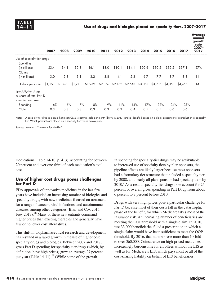### **14–11 Use of drugs and biologics placed on specialty tiers, 2007–2017**

|                                                                      | 2007  | 2008              | 2009  | 2010    | 2011  | 2012                    | 2013   | 2014    | 2015    | 2016    | 2017    | <b>Average</b><br>annual<br>growth<br>rate<br>$2007 -$<br>2017 |
|----------------------------------------------------------------------|-------|-------------------|-------|---------|-------|-------------------------|--------|---------|---------|---------|---------|----------------------------------------------------------------|
| Use of specialty-tier drugs                                          |       |                   |       |         |       |                         |        |         |         |         |         |                                                                |
| Spending                                                             |       |                   |       |         |       |                         |        |         |         |         |         |                                                                |
| (in billions)                                                        | \$3.4 | \$4.1             | \$5.3 | \$6.1   | \$8.0 | \$10.1                  | \$14.1 | \$20.6  | \$30.2  | \$35.5  | \$37.1  | 27%                                                            |
| Claims                                                               |       |                   |       |         |       |                         |        |         |         |         |         |                                                                |
| (in millions)                                                        | 3.0   | 2.8               | 3.1   | 3.2     | 3.8   | 4.1                     | 5.3    | 6.7     | 7.7     | 8.7     | 8.3     | 11                                                             |
| Dollars per claim \$1,151                                            |       | $$1,490$ $$1,713$ |       | \$1,939 |       | \$2,076 \$2,462 \$2,648 |        | \$3,065 | \$3,907 | \$4,068 | \$4,455 | 14                                                             |
| Specialty-tier drugs<br>as share of total Part D<br>spending and use |       |                   |       |         |       |                         |        |         |         |         |         |                                                                |
| Spending                                                             | 6%    | 6%                | 7%    | 8%      | 9%    | 11%                     | 14%    | 17%     | 22%     | 24%     | 25%     |                                                                |
| Claims                                                               | 0.3   | 0.3               | 0.3   | 0.3     | 0.3   | 0.3                     | 0.4    | 0.5     | 0.5     | 0.6     | 0.6     |                                                                |

Note: A specialty-tier drug is a drug that meets CMS's cost threshold per month (\$670 in 2017) and is identified based on a plan's placement of a product on its specialty tier. Which products are placed on a specialty tier varies across plans.

Source: Acumen LLC analysis for MedPAC.

medications (Table 14-10, p. 413), accounting for between 20 percent and over one-third of each medication's total cost.

### **Use of higher cost drugs poses challenges for Part D**

FDA approvals of innovative medicines in the last few years have included an increasing number of biologics and specialty drugs, with new medicines focused on treatments for a range of cancers, viral infections, and autoimmune diseases, among other categories (Blair and Cox 2016, Frey 2017).<sup>28</sup> Many of these new entrants command higher prices than existing therapies and generally have few or no lower cost alternatives.

This shift in biopharmaceutical research and development has resulted in a rapid growth in the use of higher cost specialty drugs and biologics. Between 2007 and 2017, gross Part D spending for specialty-tier drugs (which, by definition, have high prices) grew an average 27 percent per year (Table 14-11).<sup>29</sup> (While some of the growth

in spending for specialty-tier drugs may be attributable to increased use of specialty tiers by plan sponsors, the pipeline effects are likely larger because most sponsors had a formulary tier structure that included a specialty tier by 2008, and nearly all plan sponsors had specialty tiers by 2010.) As a result, specialty-tier drugs now account for 25 percent of overall gross spending in Part D, up from about 6 percent to 7 percent before 2010.

Drugs with very high prices pose a particular challenge for Part D because most of their costs fall in the catastrophic phase of the benefit, for which Medicare takes most of the insurance risk. An increasing number of beneficiaries are meeting the OOP threshold with a single claim. In 2010, just 33,000 beneficiaries filled a prescription in which a single claim would have been sufficient to meet the OOP threshold. By 2016, that number rose more than 10-fold to over 360,000. Coinsurance on high-priced medicines is increasingly burdensome for enrollees without the LIS as well as for Medicare's LIS, which pays most or all of the cost-sharing liability on behalf of LIS beneficiaries.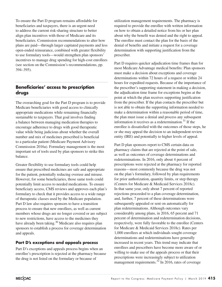To ensure the Part D program remains affordable for beneficiaries and taxpayers, there is an urgent need to address the current risk-sharing structure to better align plan incentives with those of Medicare and its beneficiaries. Commission recommendations to alter how plans are paid—through larger capitated payments and less open-ended reinsurance, combined with greater flexibility to use formulary tools—would strengthen plan sponsors' incentives to manage drug spending for high-cost enrollees (see section on the Commission's recommendations, pp. 394–395).

### **Beneficiaries' access to prescription drugs**

The overarching goal for the Part D program is to provide Medicare beneficiaries with good access to clinically appropriate medications while remaining financially sustainable to taxpayers. That goal involves finding a balance between managing medication therapies to encourage adherence to drugs with good therapeutic value while being judicious about whether the overall number and mix of medicines prescribed is beneficial to a particular patient (Medicare Payment Advisory Commission 2016a). Formulary management is the most important set of tools used by plan sponsors to strike this balance.

Greater flexibility to use formulary tools could help ensure that prescribed medicines are safe and appropriate for the patient, potentially reducing overuse and misuse. However, for some beneficiaries, those same tools could potentially limit access to needed medications. To ensure beneficiary access, CMS reviews and approves each plan's formulary to check that it provides access to a wide range of therapeutic classes used by the Medicare population. Part D law also requires sponsors to have a transition process to ensure that new enrollees, as well as current members whose drugs are no longer covered or are subject to new restrictions, have access to the medicines they have already been taking. $30$  Medicare also requires plan sponsors to establish a process for coverage determination and appeals.

### **Part D's exceptions and appeals process**

Part D's exceptions and appeals process begins when an enrollee's prescription is rejected at the pharmacy because the drug is not listed on the formulary or because of

utilization management requirements. The pharmacy is required to provide the enrollee with written information on how to obtain a detailed notice from his or her plan about why the benefit was denied and the right to appeal. The enrollee must contact the plan for the basis of the denial of benefits and initiate a request for a coverage determination with supporting justification from the prescriber.

Part D requires quicker adjudication time frames than for most Medicare Advantage medical benefits: Plan sponsors must make a decision about exceptions and coverage determinations within 72 hours of a request or within 24 hours for expedited requests. Because of the importance of the prescriber's supporting statement in making a decision, the adjudication time frame for exceptions begins at the point at which the plan receives supporting justification from the prescriber. If the plan contacts the prescriber but is not able to obtain the supporting information needed to make a determination within a reasonable period of time, the plan must issue a denial and process any subsequent information it receives as a redetermination. $31$  If the enrollee is dissatisfied with the outcomes of those steps, he or she may appeal the decision to an independent review entity (IRE) and potentially to higher levels of appeal.

Part D plan sponsors report to CMS certain data on pharmacy claims that are rejected at the point of sale, as well as outcomes of coverage determinations and redeterminations. In 2016, only about 4 percent of prescriptions were rejected at the pharmacy for reported reasons—most commonly because the drug was not on the plan's formulary, followed by plan requirements for prior authorization, quantity limits, or step therapy (Centers for Medicare & Medicaid Services 2018c). In that same year, only about 7 percent of reported rejections proceeded to a plan coverage determination, and, further, 7 percent of these determinations were subsequently appealed or sent on automatically for plan redeterminations. Although outcomes vary considerably among plans, in 2016, 65 percent and 71 percent of determination and redetermination decisions, respectively, were fully favorable to the enrollee (Centers for Medicare & Medicaid Services 2018c). Rates per 1,000 enrollees at which individuals sought coverage determinations and redeterminations have generally increased in recent years. This trend may indicate that enrollees and prescribers have become more aware of or willing to make use of the appeals process or that their prescriptions were increasingly subject to utilization management requirements. $32$  In 2016, rates of coverage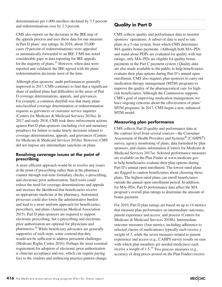determinations per 1,000 enrollees declined by 3.5 percent and redeterminations rose by 2.3 percent.

CMS also reports on the decisions in the IRE step of the appeals process and uses these data for one measure in Part D plans' star ratings. In 2016, about 35,000 cases (9 percent of redeterminations) were appealed or automatically forwarded to an IRE. CMS has noted considerable gaps in data reporting for IRE appeals for the majority of plans. $33$  However, when data were reported and validated, the IRE agreed with the plans' redetermination decisions most of the time.

Although plan sponsors' audit performances generally improved in 2017, CMS continues to find that a significant share of audited plans had difficulties in the areas of Part D coverage determinations, appeals, and grievances. For example, a common shortfall was that many plans misclassified coverage determination or redetermination requests as grievances or customer service inquiries (Centers for Medicare & Medicaid Services 2018a). In 2017 and early 2018, CMS took three enforcement actions against Part D plan sponsors (including civil and monetary penalties) for failure to make timely decisions related to coverage determinations, appeals, and grievances (Centers for Medicare & Medicaid Services 2018a). However, CMS did not impose any intermediate sanctions on plans.

### **Resolving coverage issues at the point of prescribing**

A more efficient approach would be to resolve any issues at the point of prescribing rather than at the pharmacy counter through real-time formulary checks, e-prescribing, and electronic prior authorization. Such tools could reduce the need for coverage determinations and appeals and increase the likelihood that beneficiaries receive an appropriate medicine at the pharmacy. Automated processes could also lower the administrative burden and lead to a more uniform approach for beneficiaries, prescribers, and plans (American Medical Association 2015). Part D plan sponsors are required to support electronic prescribing, but e-prescribing and electronic prior authorization are optional for physicians and pharmacies.34 While beneficiary advocates are generally supportive of such steps, some contend that they would not be sufficient to address persistent challenges (Medicare Rights Center 2016). Perhaps the most essential requirement for adoption of electronic prior authorization is clinician acceptance and use, which can require paying fees to the vendors and embracing practice-pattern change.

### **Quality in Part D**

CMS collects quality and performance data to monitor sponsors' operations. A subset of data is used to rate plans in a 5-star system, from which CMS determines MA quality bonus payments. (Although both MA−PDs and stand-alone PDPs are evaluated for quality with star ratings, only MA−PDs are eligible for quality bonus payments in the Part C payment system.) Quality data are also made available to the public to help beneficiaries evaluate their plan options during Part D's annual open enrollment. CMS also requires plan sponsors to carry out medication therapy management (MTM) programs to improve the quality of the pharmaceutical care for highrisk beneficiaries. Although the Commission supports CMS's goal of improving medication management, we have ongoing concerns about the effectiveness of plans' MTM programs. In 2017, CMS began a new, enhanced MTM model.

### **Measuring plan performance**

CMS collects Part D quality and performance data at the contract level from several sources—the Consumer Assessment of Health Providers and Systems® (CAHPS®) survey, agency monitoring of plans, data furnished by plan sponsors, and claims information (Centers for Medicare & Medicaid Services 2017a). Selected performance measures are available on the Plan Finder at www.medicare.gov to help beneficiaries evaluate their plan options during Part D's annual open enrollment. The lowest rated plans are flagged to caution beneficiaries about choosing those plans. The highest rated plans can enroll beneficiaries outside the annual open enrollment period. In addition, for MA−PDs, Part D performance data affect the MA program's overall plan ratings to determine the amount of bonus payment.

For 2019, Part D plan ratings are based on up to 14 metrics that measure plan performance on intermediate outcomes, patient experience and access, and process (Centers for Medicare & Medicaid Services 2018b). Intermediate outcome measures (four metrics, including adherence to selected classes of medications) typically each receive a weight of 3, while the seven measures related to patient experience and access (e.g., CAHPS survey results on ease with which plan members get needed medicines) each receive a weight of  $1.5^{35}$  Two process measures (e.g., accuracy of drug prices posted on the Plan Finder) receive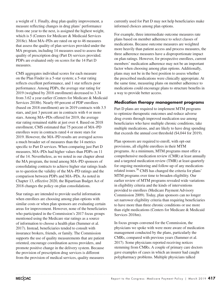a weight of 1. Finally, drug plan quality improvement, a measure reflecting changes in drug plans' performance from one year to the next, is assigned the highest weight, which is 5 (Centers for Medicare & Medicaid Services 2018e). Most MA−PDs are rated on up to 46 measures that assess the quality of plan services provided under the MA program, including 14 measures used to assess the quality of prescription drug (Part D) services provided. PDPs are evaluated only on scores for the 14 Part D measures.

CMS aggregates individual scores for each measure on the Plan Finder in a 5-star system; a 5-star rating reflects excellent performance, and 1 star reflects poor performance. Among PDPs, the average star rating for 2019 (weighted by 2018 enrollment) decreased to 3.34 from 3.62 a year earlier (Centers for Medicare & Medicaid Services 2018b). Nearly 69 percent of PDP enrollees (based on 2018 enrollment) are in 2019 contracts with 3.5 stars, and just 3 percent are in contracts with 4 or more stars. Among MA−PDs offered for 2019, the average star rating remained stable at just over 4. Based on 2018 enrollment, CMS estimated that 75 percent of MA–PD enrollees were in contracts rated 4 or more stars for 2019. However, the MA–PD results are averaged across a much broader set of measures than the 14 metrics specific to Part D services. When comparing just Part D measures, MA–PDs had higher values than PDPs on 11 of the 14. Nevertheless, as we noted in our chapter about the MA program, the trend among MA–PD sponsors of consolidating contracts to achieve higher star ratings leads us to question the validity of the MA–PD ratings and the comparison between PDPs and MA–PDs. As noted in Chapter 13, effective 2020, the Bipartisan Budget Act of 2018 changes the policy on plan consolidations.

Star ratings are intended to provide useful information when enrollees are choosing among plan options with similar costs or when plan sponsors are evaluating certain areas for improvement. However, none of the beneficiaries who participated in the Commission's 2017 focus groups mentioned using the Medicare star ratings as a source of information to choose a health plan (Summer et al. 2017). Instead, beneficiaries tended to consult with insurance brokers, friends, or family. The Commission supports the use of quality measurements that are patient oriented, encourage coordination across providers, and promote positive change in the delivery system. Because the provision of prescription drug services is different from the provision of medical services, quality measures

currently used for Part D may not help beneficiaries make informed choices among plan options.

For example, three intermediate outcome measures rate plans based on member adherence to select classes of medications. Because outcome measures are weighted more heavily than patient access and process measures, the three adherence measures have a disproportionate impact on plan ratings. However, for prospective enrollees, current members' medication adherence may not be an important factor when choosing among plan options. Additionally, plans may not be in the best position to assess whether the prescribed medications were clinically appropriate. At the same time, measuring plans on member adherence to medications could encourage plans to structure benefits in a way to provide better access.

### **Medication therapy management programs**

Part D plans are required to implement MTM programs to optimize therapeutic outcomes and reduce adverse drug events through improved medication use among beneficiaries who have multiple chronic conditions, take multiple medications, and are likely to have drug spending that exceeds the annual cost threshold (\$4,044 for 2019).

Plan sponsors are required to enroll, with opt-out provisions, all eligible enrollees in their MTM programs. At a minimum, MTM programs must offer a comprehensive medication review (CMR) at least annually and a targeted medication review (TMR) at least quarterly for ongoing monitoring and follow-up of any medicationrelated issues.36 CMS has changed the criteria for plans' MTM programs over time to broaden eligibility. Our earlier review of MTM programs revealed wide variations in eligibility criteria and the kinds of interventions provided to enrollees (Medicare Payment Advisory Commission 2009). Today, plan sponsors can no longer set narrower eligibility criteria than requiring beneficiaries to have more than three chronic conditions or use more than eight medications (Centers for Medicare & Medicaid Services 2018m).

In focus groups convened for the Commission, the physicians we spoke with were more aware of medication management conducted by the plans, particularly the CMRs, compared with previous years (Summer et al. 2017). Some physicians reported receiving notices stemming from CMRs. A couple of primary care doctors gave examples of cases in which an insurer had caught polypharmacy problems. Multiple physicians talked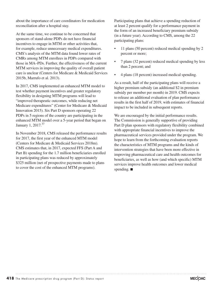about the importance of care coordinators for medication reconciliation after a hospital stay.

At the same time, we continue to be concerned that sponsors of stand-alone PDPs do not have financial incentives to engage in MTM or other activities that, for example, reduce unnecessary medical expenditures. CMS's analysis of the MTM data found lower rates of CMRs among MTM enrollees in PDPs compared with those in MA–PDs. Further, the effectiveness of the current MTM services in improving the quality of overall patient care is unclear (Centers for Medicare & Medicaid Services 2015b, Marrufo et al. 2013).

In 2017, CMS implemented an enhanced MTM model to test whether payment incentives and greater regulatory flexibility in designing MTM programs will lead to "improved therapeutic outcomes, while reducing net Medicare expenditures" (Center for Medicare & Medicaid Innovation 2015). Six Part D sponsors operating 22 PDPs in 5 regions of the country are participating in the enhanced MTM model over a 5-year period that began on January 1, 2017.<sup>37</sup>

In November 2018, CMS released the performance results for 2017, the first year of the enhanced MTM model (Centers for Medicare & Medicaid Services 2018m). CMS estimates that, in 2017, expected FFS (Part A and Part B) spending for the 1.7 million beneficiaries enrolled in participating plans was reduced by approximately \$325 million (net of prospective payments made to plans to cover the cost of the enhanced MTM programs).

Participating plans that achieve a spending reduction of at least 2 percent qualify for a performance payment in the form of an increased beneficiary premium subsidy (in a future year). According to CMS, among the 22 participating plans:

- 11 plans (50 percent) reduced medical spending by 2 percent or more;
- 7 plans (32 percent) reduced medical spending by less than 2 percent; and
- 4 plans (18 percent) increased medical spending.

As a result, half of the participating plans will receive a higher premium subsidy (an additional \$2 in premium subsidy per member per month) in 2019. CMS expects to release an additional evaluation of plan performance results in the first half of 2019, with estimates of financial impact to be included in subsequent reports.

We are encouraged by the initial performance results. The Commission is generally supportive of providing Part D plan sponsors with regulatory flexibility combined with appropriate financial incentives to improve the pharmaceutical services provided under the program. We hope to learn from the forthcoming evaluation reports the characteristics of MTM programs and the kinds of intervention strategies that have been more effective in improving pharmaceutical care and health outcomes for beneficiaries, as well as how (and which specific) MTM services improve health outcomes and lower medical spending. ■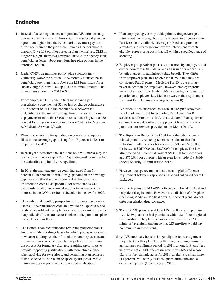### **Endnotes**

- 1 Instead of accepting the new assignment, LIS enrollees may choose a plan themselves. However, if their selected plan has a premium higher than the benchmark, they must pay the difference between the plan's premium and the benchmark amount. Once LIS enrollees select a plan themselves, CMS no longer reassigns them to a new plan. Instead, the agency sends beneficiaries letters about premium-free plan options in the enrollee's region.
- 2 Under CMS's de minimus policy, plan sponsors may voluntarily waive the portion of the monthly adjusted basic beneficiary premium that is above the LIS benchmark for a subsidy-eligible individual, up to a de minimus amount. The de minimus amount for 2019 is \$2.
- 3 For example, in 2019, generic tiers must have a per prescription copayment of \$20 or less or charge coinsurance of 25 percent or less in the benefit phase between the deductible and the initial coverage limit. Plans may not use copayments of more than \$100 or coinsurance higher than 50 percent for drugs on nonpreferred tiers (Centers for Medicare & Medicaid Services 2018d).
- 4 Plans' responsibility for spending on generic prescriptions filled in the coverage gap is rising from 7 percent in 2011 to 75 percent by 2020.
- 5 In each year thereafter, the OOP threshold will increase by the rate of growth in per capita Part D spending—the same as for the deductible and initial coverage limit.
- 6 In 2019, the manufacturer discount increased from 50 percent to 70 percent of brand-drug spending in the coverage gap. Because that discount is counted as though it were an enrollee's own OOP spending, for beneficiaries who use mostly or all brand-name drugs, it offsets much of the increase in the OOP threshold scheduled in the law for 2020.
- 7 The study used monthly prospective reinsurance payments in excess of the reinsurance costs that would be expected based on the risk profile of each plan's enrollees to examine how the "unpredictable" reinsurance costs relate to the premiums plans charged their enrollees.
- 8 The Commission recommended removing protected status from two of the six drug classes for which plan sponsors must now cover all drugs on their formularies (antidepressants and immunosuppressants for transplant rejection), streamlining the process for formulary changes, requiring prescribers to provide supporting justifications with more clinical rigor when applying for exceptions, and permitting plan sponsors to use selected tools to manage specialty-drug costs while maintaining appropriate access to needed medications.
- If an employer agrees to provide primary drug coverage to retirees with an average benefit value equal to or greater than Part D (called "creditable coverage"), Medicare provides a tax-free subsidy to the employer for 28 percent of each eligible retiree's drug costs that fall within a specified range of spending.
- 10 Employer group waiver plans are sponsored by employers that contract directly with CMS or with an insurer or a pharmacy benefit manager to administer a drug benefit. They differ from employer plans that receive the RDS in that they are considered Part D plans—Medicare Part D is the primary payer rather than the employer. However, employer group waiver plans are offered only to Medicare-eligible retirees of a particular employer (i.e., Medicare waives the requirement that most Part D plans allow anyone to enroll).
- 11 A portion of the difference between an MA plan's payment benchmark and its bid for providing Part A and Part B services is referred to as "MA rebate dollars." Plan sponsors can use MA rebate dollars to supplement benefits or lower premiums for services provided under MA or Part D.
- 12 The Bipartisan Budget Act of 2018 modified the incomerelated premium, reducing federal subsidies further for individuals with incomes between \$133,500 and \$160,000 (or between \$267,000 and \$320,000 for couples). The law also created an income category at \$500,000 for individuals and \$750,000 for couples with an even lower federal subsidy (Social Security Administration 2018).
- 13 However, the agency maintained a meaningful-difference requirement between a sponsor's basic and enhanced benefit packages.
- 14 Most MA plans are MA−PDs, offering combined medical and outpatient drug benefits. However, a small share of MA plans (including Medicare Medical Savings Account plans) do not offer prescription drug coverage.
- 15 The 215 PDP plans available to LIS enrollees at no premium include 29 plans that had premiums within \$2 of their regional LIS threshold. The plan sponsors chose to waive the "de minimus" premium amount so that LIS enrollees would pay no premium in those plans.
- 16 An LIS enrollee who is no longer eligible for reassignment may select another plan during the year, including during the annual open enrollment period. In 2010, among LIS enrollees who were not eligible for reassignment by CMS and whose plans lost benchmark status for 2010, a relatively small share (14 percent) voluntarily switched plans during the annual enrollment period (Hoadley et al. 2015).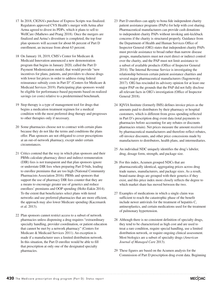- 17 In 2018, CIGNA's purchase of Express Scripts was finalized. Regulators approved CVS Health's merger with Aetna after Aetna agreed to divest its PDPs, which it plans to sell to WellCare (Mathews and Prang 2018). Once the mergers are finalized and Aetna's divestiture is completed, the top four plan sponsors will account for about 66 percent of Part D enrollment, an increase from about 63 percent.
- 18 On January 18, 2019, CMS's Center for Medicare & Medicaid Innovation announced a new demonstration program that begins in January 2020, called the Part D Payment Modernization model, that would provide "new incentives for plans, patients, and providers to choose drugs with lower list prices in order to address rising federal reinsurance subsidy costs in Part D" (Centers for Medicare & Medicaid Services 2019). Participating plan sponsors would be eligible for performance-based payments based on realized savings (or costs) relative to a predetermined benchmark.
- 19 Step therapy is a type of management tool for drugs that begins a medication treatment regimen for a medical condition with the most preferred drug therapy and progresses to other therapies only if necessary.
- 20 Some pharmacies choose not to contract with certain plans because they do not like the terms and conditions the plans offer. Plan sponsors are not obligated to cover prescriptions at an out-of-network pharmacy, except under certain circumstances.
- 21 Critics contend that the way in which plan sponsors and their PBMs calculate pharmacy direct and indirect remuneration (DIR) fees is not transparent and that plan sponsors ignore or understate DIR fees when preparing Part D bids, leading to enrollee premiums that are too high (National Community Pharmacists Association 2016). PBMs and sponsors that support the use of pharmacy DIR fees counter that they are a means to encourage greater use of generics and reduce enrollees' premiums and OOP spending (Holtz-Eakin 2014). To the extent that beneficiaries select plans with tiered networks and use preferred pharmacies that are more efficient, the approach may also lower Medicare spending (Kaczmarek et al. 2013).
- 22 Plan sponsors cannot restrict access to a subset of network pharmacies unless dispensing a drug requires "extraordinary specialty handling, provider coordination, or patient education that cannot be met by a network pharmacy" (Centers for Medicare & Medicaid Services 2011). An exception is made if a manufacturer uses a limited distribution network. In this situation, the Part D enrollee would be able to fill that prescription at only one of the designated specialty pharmacies.
- 23 Part D enrollees can apply to bona fide independent charity patient assistance programs (PAPs) for help with cost sharing. Pharmaceutical manufacturers can provide cash donations to independent charity PAPs without invoking anti-kickback concerns if the charity is structured properly. Guidance from the Department of Health and Human Services Office of Inspector General (OIG) states that independent charity PAPs must provide assistance to broad rather than narrow disease groups, manufacturers must not exert direct or indirect control over the charity, and the PAP must not limit assistance to a subset of available products (Office of Inspector General 2014). The Internal Revenue Service is investigating the relationship between certain patient assistance charities and several major pharmaceutical manufacturers (Sagonowsky 2017). OIG has rescinded its advisory opinion for at least one major PAP on the grounds that the PAP did not fully disclose all relevant facts in OIG's investigation (Office of Inspector General 2018).
- 24 IQVIA Institute (formerly IMS) defines invoice prices as the amounts paid to distributors by their pharmacy or hospital customers, which is different from gross spending reflected in Part D's prescription drug event data (total payments to pharmacies before accounting for any rebates or discounts pharmacies retain). Net prices measure the amount received by pharmaceutical manufacturers and therefore reflect rebates, off-invoice discounts, and other price concessions made by manufacturers to distributors, health plans, and intermediaries.
- 25 An individual NDC uniquely identifies the drug's labeler, drug, dosage form, strength, and package size.
- 26 For this index, Acumen grouped NDCs that are pharmaceutically identical, aggregating prices across drug trade names, manufacturers, and package sizes. As a result, brand-name drugs are grouped with their generics if they exist, and this price index more closely reflects the degree to which market share has moved between the two.
- 27 Examples of medications in which a single claim was sufficient to reach the catastrophic phase of the benefit include newer antivirals for the treatment of hepatitis C, antineoplastics, and certain medications used for the treatment of pulmonary hypertension.
- 28 Although there is no consistent definition of specialty drugs, they tend to be characterized as high cost and are used to treat a rare condition, require special handling, use a limited distribution network, or require ongoing clinical assessment. Most biologics are a subset of specialty drugs (*American Journal of Managed Car*e 2013).
- 29 These figures are based on the Acumen analysis for the Commission of Part D prescription drug event data. Beginning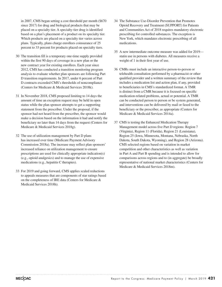in 2007, CMS began setting a cost threshold per month (\$670 since 2017) for drug and biological products that may be placed on a specialty tier. A specialty-tier drug is identified based on a plan's placement of a product on its specialty tier. Which products are placed on a specialty tier varies across plans. Typically, plans charge enrollees coinsurance of 25 percent to 33 percent for products placed on specialty tiers.

- 30 The transition fill is a temporary one-time supply provided within the first 90 days of coverage in a new plan or the new contract year for existing enrollees. Each year since 2012, CMS has conducted a transition monitoring program analysis to evaluate whether plan sponsors are following Part D transition requirements. In 2017, under 6 percent of Part D contracts exceeded CMS's thresholds of noncompliance (Centers for Medicare & Medicaid Services 2018k).
- 31 In November 2018, CMS proposed limiting to 14 days the amount of time an exception request may be held in open status while the plan sponsor attempts to get a supporting statement from the prescriber. Under the proposal, if the sponsor had not heard from the prescriber, the sponsor would make a decision based on the information it had and notify the beneficiary no later than 14 days from the request (Centers for Medicare & Medicaid Services 2018g).
- 32 The use of utilization management by Part D plans has increased over time (Medicare Payment Advisory Commission 2018a). The increase may reflect plan sponsors' increased reliance on utilization management to ensure prescriptions are used for clinically appropriate indication(s) (e.g., opioid analgesics) and to manage the use of expensive medications (e.g., hepatitis C therapies).
- 33 For 2019 and going forward, CMS applies scaled reductions to appeals measures that are components of star ratings based on the completeness of IRE data (Centers for Medicare & Medicaid Services 2018h).
- 34 The Substance Use-Disorder Prevention that Promotes Opioid Recovery and Treatment (SUPPORT) for Patients and Communities Act of 2018 requires mandatory electronic prescribing for controlled substances. The exception is New York, which mandates electronic prescribing of all medications.
- 35 A new intermediate outcome measure was added for 2019 statin use in persons with diabetes. All measures receive a weight of 1 in their first year of use.
- 36 CMRs must include an interactive person-to-person or telehealth consultation performed by a pharmacist or other qualified provider and a written summary of the review that includes a medication list and action plan, if any, provided to beneficiaries in CMS's standardized format. A TMR is distinct from a CMR because it is focused on specific medication-related problems, actual or potential. A TMR can be conducted person to person or be system generated, and interventions can be delivered by mail or faxed to the beneficiary or the prescriber, as appropriate (Centers for Medicare & Medicaid Services 2014a).
- 37 CMS is testing the Enhanced Medication Therapy Management model across five Part D regions: Region 7 (Virginia), Region 11 (Florida), Region 21 (Louisiana), Region 25 (Iowa, Minnesota, Montana, Nebraska, North Dakota, South Dakota, Wyoming), and Region 28 (Arizona). CMS selected regions based on variation in market competition and other characteristics as well as variation in Part A and Part B spending and is intended to allow for comparisons across regions and to (in aggregate) be broadly representative of national market characteristics (Centers for Medicare & Medicaid Services 2018m).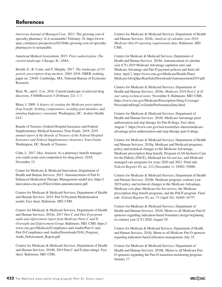### **References**

*American Journal of Managed Care*. 2013. The growing cost of specialty pharmacy: Is it sustainable? February 18. https://www. ajmc.com/payer-perspectives/0218/the-growing-cost-of-specialtypharmacyis-it-sustainable.

American Medical Association. 2015. *Prior authorization: The current landscape.* Chicago, IL: AMA.

Berndt, E., R. Conti, and S. Murphy. 2017. *The landscape of US generic prescription drug markets, 2004–2016.* NBER working paper no. 23640. Cambridge, MA: National Bureau of Economic Research.

Blair, W., and C. Cox. 2016. Current landscape of antiviral drug discovery. *F1000Research* 5 (February 22): 1–7.

Blum, J. 2009. *A history of creating the Medicare prescription drug benefit: Striking compromises, avoiding past mistakes, and minding budgetary constraint.* Washington, DC: Avalere Health LLC.

Boards of Trustees, Federal Hospital Insurance and Federal Supplementary Medical Insurance Trust Funds. 2018. *2018 annual report of the Boards of Trustees of the Federal Hospital Insurance and Federal Supplementary Insurance Trust Funds.*  Washington, DC: Boards of Trustees.

Cahn, L. 2017. Hey, Amazon: As a pharmacy benefit manager, you could create real competition for drug prices. *STAT*, November 15.

Center for Medicare & Medicaid Innovation, Department of Health and Human Services. 2015. Announcement of Part D Enhanced Medication Therapy Management model test. https:// innovation.cms.gov/Files/x/mtm-announcement.pdf.

Centers for Medicare & Medicaid Services, Department of Health and Human Services. 2019. Part D Payment Modernization model. Fact sheet. Baltimore, MD: CMS.

Centers for Medicare & Medicaid Services, Department of Health and Human Services. 2018a. 2017 *Part C and Part D program audit and enforcement report from Medicare Parts C and D Oversight and Enforcement Group.* Baltimore, MD: CMS. https:// www.cms.gov/Medicare/Compliance-and-Audits/Part-C-and-Part-D-Compliance-and-Audits/Downloads/2016\_Program\_ Audit\_Enforcement\_Report.pdf.

Centers for Medicare & Medicaid Services, Department of Health and Human Services. 2018b. 2019 Part C and D plan ratings. Fact sheet. Baltimore, MD: CMS.

Centers for Medicare & Medicaid Services, Department of Health and Human Services. 2018c. *Analysis of calendar year 2016 Medicare Part D reporting requirements data.* Baltimore, MD: CMS.

Centers for Medicare & Medicaid Services, Department of Health and Human Services. 2018d. Announcement of calendar year (CY) 2019 Medicare Advantage capitation rates and Medicare Advantage and Part D payment policies and final call letter. April 2. https://www.cms.gov/Medicare/Health-Plans/ MedicareAdvtgSpecRateStats/Downloads/Announcement2019.pdf.

Centers for Medicare & Medicaid Services, Department of Health and Human Services. 2018e. *Medicare 2019 Part C & D star rating technical notes.* November 8. Baltimore, MD: CMS. https://www.cms.gov/Medicare/Prescription-Drug-Coverage/ PrescriptionDrugCovGenIn/PerformanceData.html.

Centers for Medicare & Medicaid Services, Department of Health and Human Services. 2018f. Medicare Advantage prior authorization and step therapy for Part B drugs. Fact sheet. August 7. https://www.cms.gov/newsroom/fact-sheets/medicareadvantage-prior-authorization-and-step-therapy-part-b-drugs.

Centers for Medicare & Medicaid Services, Department of Health and Human Services. 2018g. Medicare and Medicaid programs; policy and technical changes to the Medicare Advantage, Medicare prescription drug benefit, Program of All-Inclusive Care for the Elderly (PACE), Medicaid fee-for-service, and Medicaid managed care programs for years 2020 and 2021. Final rule. *Federal Register* 83, no. 212 (November 1): 54982–55088.

Centers for Medicare & Medicaid Services, Department of Health and Human Services. 2018h. Medicare program; contract year 2019 policy and technical changes to the Medicare Advantage, Medicare cost plan, Medicare fee-for-service, the Medicare prescription drug benefit programs, and the PACE program. Final rule. *Federal Register* 83, no. 73 (April 16): 16440–16757.

Centers for Medicare & Medicaid Services, Department of Health and Human Services. 2018i. Memo to all Medicare Part D sponsors regarding indication-based formulary design beginning in contract year (CY) 2020, August 29.

Centers for Medicare & Medicaid Services, Department of Health and Human Services. 2018j. Memo to all Medicare Part D sponsors regarding indication-based utilization management, July 25.

Centers for Medicare & Medicaid Services, Department of Health and Human Services. 2018k. Memo to all Medicare Part D sponsors regarding the Part D transition monitoring program, January 17.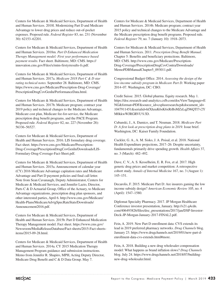Centers for Medicare & Medicaid Services, Department of Health and Human Services. 2018l. Modernizing Part D and Medicare Advantage to lower drug prices and reduce out-of-pocket expenses. Proposed rule. *Federal Register* 83, no. 231 (November 30): 62153–62201.

Centers for Medicare & Medicaid Services, Department of Health and Human Services. 2018m. *Part D Enhanced Medication Therapy Management model: First year performance based payment results.* Fact sheet. Baltimore, MD: CMS. https:// innovation.cms.gov/Files/x/mtm-firstyrresults-fs.pdf.

Centers for Medicare & Medicaid Services, Department of Health and Human Services. 2017a. *Medicare 2018 Part C & D star rating technical notes.* September 28. Baltimore, MD: CMS. https://www.cms.gov/Medicare/Prescription-Drug-Coverage/ PrescriptionDrugCovGenIn/PerformanceData.html.

Centers for Medicare & Medicaid Services, Department of Health and Human Services. 2017b. Medicare program; contract year 2019 policy and technical changes to the Medicare Advantage, Medicare cost plan, Medicare fee-for-service, the Medicare prescription drug benefit programs, and the PACE Program. Proposed rule. *Federal Register* 82, no. 227 (November 28): 56336–56527.

Centers for Medicare & Medicaid Services, Department of Health and Human Services. 2016. LIS formulary drug coverage. Fact sheet. https://www.cms.gov/Medicare/Prescription-Drug-Coverage/PrescriptionDrugCovGenIn/Downloads/LIS-Formulary-Drug-Coverage-Fact-Sheet.pdf.

Centers for Medicare & Medicaid Services, Department of Health and Human Services. 2015a. Announcement of calendar year (CY) 2016 Medicare Advantage capitation rates and Medicare Advantage and Part D payment policies and final call letter. Note from Sean Cavanaugh, Deputy Administrator, Centers for Medicare & Medicaid Services, and Jennifer Lazio, Director, Parts C & D Actuarial Group, Office of the Actuary, to Medicare Advantage organizations, prescription drug plan sponsors, and other interested parties, April 6. http://www.cms.gov/Medicare/ Health-Plans/MedicareAdvtgSpecRateStats/Downloads/ Announcement2016.pdf.

Centers for Medicare & Medicaid Services, Department of Health and Human Services. 2015b. Part D Enhanced Medication Therapy Management model. Fact sheet. https://www.cms.gov/ Newsroom/MediaReleaseDatabase/Fact-sheets/2015-Fact-sheetsitems/2015-09-28.html.

Centers for Medicare & Medicaid Services, Department of Health and Human Services. 2014a. CY 2015 Medication Therapy Management Program guidance and submission instructions. Memo from Jennifer R. Shapiro, MPH, Acting Deputy Director, Medicare Drug Benefit and C & D Data Group. May 7.

Centers for Medicare & Medicaid Services, Department of Health and Human Services. 2014b. Medicare program; contract year 2015 policy and technical changes to the Medicare Advantage and the Medicare prescription drug benefit programs. Proposed rule. *Federal Register* 79, no. 7 (January 10): 1918–2073.

Centers for Medicare & Medicaid Services, Department of Health and Human Services. 2011. *Prescription Drug Benefit Manual.*  Chapter 5: Benefits and beneficiary protections. Baltimore, MD: CMS. http://www.cms.gov/Medicare/Prescription-Drug-Coverage/PrescriptionDrugCovContra/Downloads/ MemoPDBManualChapter5\_093011.pdf.

Congressional Budget Office. 2014. *Assessing the design of the low-income subsidy program in Medicare Part D.* Working paper 2014–07. Washington, DC: CBO.

Credit Suisse. 2015. Global pharma. Equity research. May 1. https://doc.research-and-analytics.csfb.com/docView?language=E NG&format=PDF&source\_id=csplusresearchcp&document\_id= 1047911451&serialid=hfXhzuK6sK6xRrBsMZzLqZ96QTl7v2Y M0kkwWJRGRVU%3D.

Cubanski, J., A. Damico, and T. Neuman. 2018. *Medicare Part D: A first look at prescription drug plans in 2019.* Issue brief. Washington, DC: Kaiser Family Foundation.

Cuckler, G. A., A. M. Sisko, J. A. Poisal, et al. 2018. National Health Expenditure projections, 2017–26: Despite uncertainty, fundamentals primarily drive spending growth. *Health Affairs* 37, no. 3 (March): 482–492.

Dave, C. V., A. S. Kesselheim, E. R. Fox, et al. 2017. High generic drug prices and market competition: A retrospective cohort study. *Annals of Internal Medicine* 167, no. 3 (August 1): 145–151.

Decarolis, F. 2015. Medicare Part D: Are insurers gaming the low income subsidy design? *American Economic Review* 105, no. 4 (April): 1547–1580.

Diplomat Specialty Pharmacy. 2017. JP Morgan Healthcare Conference investor presentation, January. http://s21.q4cdn. com/406493826/files/doc\_presentations/2017/jan/DSP-Investor-Deck-JP-Morgan-January-2017-FINAL2.pdf.

Fein, A. 2019. New Part D enrollment data: CVS extends its lead in 2019 preferred pharmacy networks. *Drug Channels* blog. January 23. https://www.drugchannels.net/2019/01/new-part-denrollment-data-cvs-extends.html#more.

Fein, A. 2018. Building a new drug wholesaler compensation model: What happens as brand inflation slows? *Drug Channels* blog. July 24. https://www.drugchannels.net/2018/07/buildingnew-drug-wholesaler.html.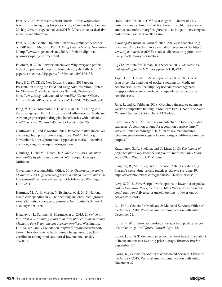Fein, A. 2017. McKesson's profit shortfall: How wholesalers benefit from rising drug list prices. *Drug Channels* blog. January 26. http://www.drugchannels.net/2017/12/the-cvs-aetna-deal-fiveindustry-and.html#more.

Fein, A. 2016. Behind Diplomat Pharmacy's plunge: A primer on DIR fees in Medicare Part D. *Drug Channels* blog. November 8. http://www.drugchannels.net/2016/11/behind-diplomatpharmacys-plunge-primer.html.

Feldman, R. 2018. Perverse incentives: Why everyone prefers high drug prices—Except for those who pay the bills. https:// papers.ssrn.com/sol3/papers.cfm?abstract\_id=3162432.

Frey, P. 2017. CDER New Drugs Program: 2017 update. Presentation during the Food and Drug Administration/Centers for Medicare & Medicaid Services Summit, December 5. https://www.fda.gov/downloads/AboutFDA/CentersOffices/ OfficeofMedicalProductsandTobacco/CDER/UCM587690.pdf.

Fung, V., C. M. Mangione, J. Huang, et al. 2010. Falling into the coverage gap: Part D drug costs and adherence for Medicare Advantage prescription drug plan beneficiaries with diabetes. *Health Services Research* 45, no. 2 (April): 355–375.

Garthwaite, C., and F. Morton. 2017. Perverse market incentives encourage high prescription drug prices. *ProMarket* blog. November 1. https://promarket.org/perverse-market-incentivesencourage-high-prescription-drug-prices/.

Gomberg, J., and M. Hunter. 2015. *Medicare Part D member profitability by pharmacy channel.* White paper. Chicago, IL: Milliman.

Government Accountability Office. 2016. *Generic drugs under Medicare: Part D generic drug prices declined overall, but some had extraordinary price increases.* GAO–16–706. Washington, DC: GAO.

Hartman, M., A. B. Martin, N. Espinosa, et al. 2018. National health care spending in 2016: Spending and enrollment growth slow after initial coverage expansions. *Health Affairs* 37, no. 1 (January): 150–160.

Hoadley, J., L. Summer, E. Hargrave, et al. 2015. *To switch or be switched: Examining changes in drug plan enrollment among Medicare Part D low-income subsidy enrollees.* Washington, DC: Kaiser Family Foundation. http://kff.org/medicare/report/ to-switch-or-be-switched-examining-changes-in-drug-planenrollment-among-medicare-part-d-low-income-subsidyenrollees/.

Holtz-Eakin, D. 2014. CMS is at it again . . . increasing Rx costs for seniors. American Action Forum Insight. https://www. americanactionforum.org/insight/cms-is-at-it-again-increasing-rxcosts-for-seniors/#ixzz4TftJKC4m.

*Indianapolis Business Journal*. 2016. Analysis: Diabetes drug price war likely to claim more casualties. September 30. http:// www.ibj.com/articles/60623-analysis-diabetes-drug-price-warlikely-to-claim-more-casualties.

IQVIA Institute for Human Data Science. 2017. *Medicine use and spending in the U.S.* Parsippany, NJ: IQVIA.

Joyce, G., L. Gascue, J. Zissimopoulos, et al. 2018. Generic drug price hikes and out-of-pocket spending for Medicare beneficiaries. https://healthpolicy.usc.edu/research/genericdrug-price-hikes-and-out-of-pocket-spending-for-medicarebeneficiaries/.

Jung, J., and R. Feldman. 2018. Growing reinsurance payments weaken competitive bidding in Medicare Part D. *Health Services Research* 53, no. 6 (December): 4371–4380.

Kaczmarek, S. 2015. Pharmacy manufacturer rebate negotiation strategies: A common ground for a common purpose. http:// www.milliman.com/insight/2015/Pharmacy-manufacturerrebate-negotiation-strategies-A-common-ground-for-a-commonpurpose/.

Kaczmarek, S., A. Sheldon, and D. Liner. 2013. *The impact of preferred pharmacy networks on federal Medicare Part D costs, 2014–2023.* Windsor, CT: Milliman.

Langreth, R., M. Keller, and C. Cannon. 2016. Decoding Big Pharma's secret drug pricing practices. *Bloomberg*, June 29. https://www.bloomberg.com/graphics/2016-drug-prices/.

Levy, S. 2018. SilverScript unveils options to lower out-of-pocket costs. *Drug Store News*, October 2. https://www.drugstorenews. com/retail-news/silverscript-unveils-options-to-lower-out-ofpocket-drug-costs/.

Liu, D. L., Centers for Medicare & Medicaid Services, Office of the Actuary. 2018. Personal email communication with author, December 21.

Loftus, P. 2017. Prescription-drug shortages help push up prices of similar drugs. *Wall Street Journal*, April 12.

Lopez, L. 2016. These companies you've never heard of are about to incite another massive drug price outrage. *Business Insider*, September 12.

Lyons, K., Centers for Medicare & Medicaid Services, Office of the Actuary. 2018. Personal email communication with author, November 27.